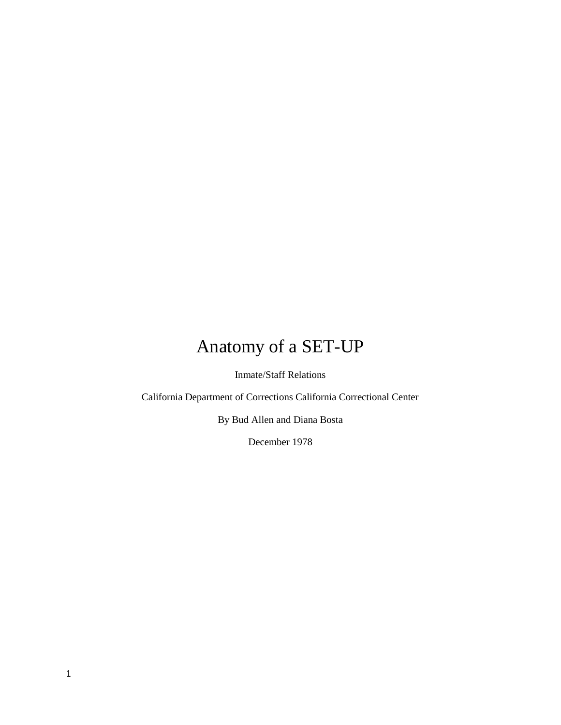# Anatomy of a SET-UP

Inmate/Staff Relations

California Department of Corrections California Correctional Center

By Bud Allen and Diana Bosta

December 1978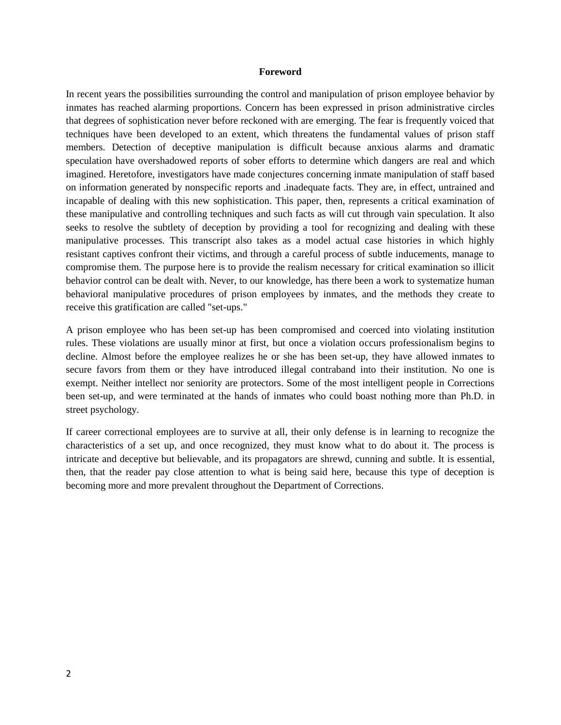#### **Foreword**

In recent years the possibilities surrounding the control and manipulation of prison employee behavior by inmates has reached alarming proportions. Concern has been expressed in prison administrative circles that degrees of sophistication never before reckoned with are emerging. The fear is frequently voiced that techniques have been developed to an extent, which threatens the fundamental values of prison staff members. Detection of deceptive manipulation is difficult because anxious alarms and dramatic speculation have overshadowed reports of sober efforts to determine which dangers are real and which imagined. Heretofore, investigators have made conjectures concerning inmate manipulation of staff based on information generated by nonspecific reports and .inadequate facts. They are, in effect, untrained and incapable of dealing with this new sophistication. This paper, then, represents a critical examination of these manipulative and controlling techniques and such facts as will cut through vain speculation. It also seeks to resolve the subtlety of deception by providing a tool for recognizing and dealing with these manipulative processes. This transcript also takes as a model actual case histories in which highly resistant captives confront their victims, and through a careful process of subtle inducements, manage to compromise them. The purpose here is to provide the realism necessary for critical examination so illicit behavior control can be dealt with. Never, to our knowledge, has there been a work to systematize human behavioral manipulative procedures of prison employees by inmates, and the methods they create to receive this gratification are called "set-ups."

A prison employee who has been set-up has been compromised and coerced into violating institution rules. These violations are usually minor at first, but once a violation occurs professionalism begins to decline. Almost before the employee realizes he or she has been set-up, they have allowed inmates to secure favors from them or they have introduced illegal contraband into their institution. No one is exempt. Neither intellect nor seniority are protectors. Some of the most intelligent people in Corrections been set-up, and were terminated at the hands of inmates who could boast nothing more than Ph.D. in street psychology.

If career correctional employees are to survive at all, their only defense is in learning to recognize the characteristics of a set up, and once recognized, they must know what to do about it. The process is intricate and deceptive but believable, and its propagators are shrewd, cunning and subtle. It is essential, then, that the reader pay close attention to what is being said here, because this type of deception is becoming more and more prevalent throughout the Department of Corrections.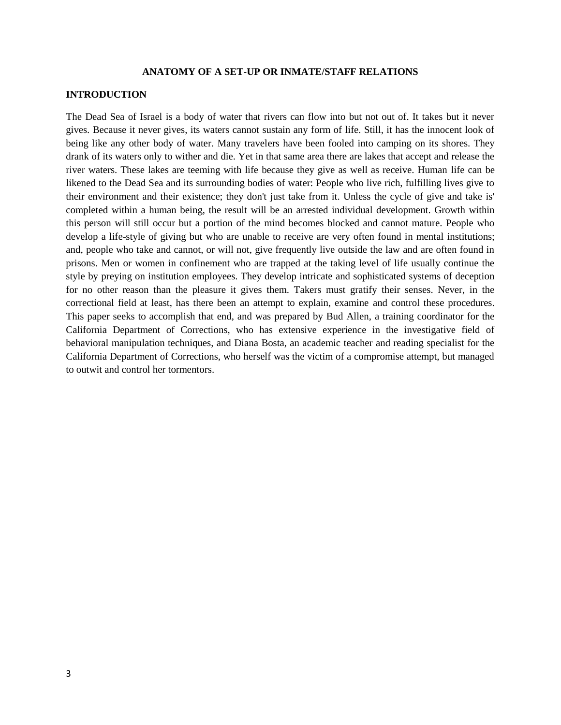#### **ANATOMY OF A SET-UP OR INMATE/STAFF RELATIONS**

#### **INTRODUCTION**

The Dead Sea of Israel is a body of water that rivers can flow into but not out of. It takes but it never gives. Because it never gives, its waters cannot sustain any form of life. Still, it has the innocent look of being like any other body of water. Many travelers have been fooled into camping on its shores. They drank of its waters only to wither and die. Yet in that same area there are lakes that accept and release the river waters. These lakes are teeming with life because they give as well as receive. Human life can be likened to the Dead Sea and its surrounding bodies of water: People who live rich, fulfilling lives give to their environment and their existence; they don't just take from it. Unless the cycle of give and take is' completed within a human being, the result will be an arrested individual development. Growth within this person will still occur but a portion of the mind becomes blocked and cannot mature. People who develop a life-style of giving but who are unable to receive are very often found in mental institutions; and, people who take and cannot, or will not, give frequently live outside the law and are often found in prisons. Men or women in confinement who are trapped at the taking level of life usually continue the style by preying on institution employees. They develop intricate and sophisticated systems of deception for no other reason than the pleasure it gives them. Takers must gratify their senses. Never, in the correctional field at least, has there been an attempt to explain, examine and control these procedures. This paper seeks to accomplish that end, and was prepared by Bud Allen, a training coordinator for the California Department of Corrections, who has extensive experience in the investigative field of behavioral manipulation techniques, and Diana Bosta, an academic teacher and reading specialist for the California Department of Corrections, who herself was the victim of a compromise attempt, but managed to outwit and control her tormentors.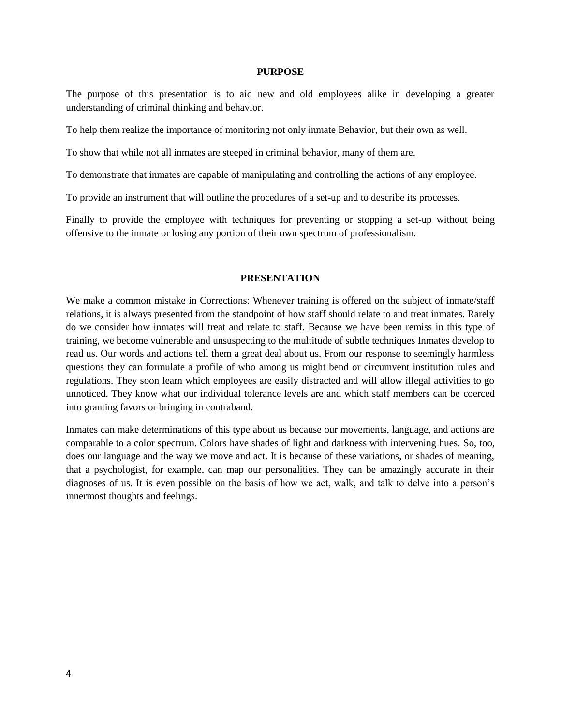#### **PURPOSE**

The purpose of this presentation is to aid new and old employees alike in developing a greater understanding of criminal thinking and behavior.

To help them realize the importance of monitoring not only inmate Behavior, but their own as well.

To show that while not all inmates are steeped in criminal behavior, many of them are.

To demonstrate that inmates are capable of manipulating and controlling the actions of any employee.

To provide an instrument that will outline the procedures of a set-up and to describe its processes.

Finally to provide the employee with techniques for preventing or stopping a set-up without being offensive to the inmate or losing any portion of their own spectrum of professionalism.

#### **PRESENTATION**

We make a common mistake in Corrections: Whenever training is offered on the subject of inmate/staff relations, it is always presented from the standpoint of how staff should relate to and treat inmates. Rarely do we consider how inmates will treat and relate to staff. Because we have been remiss in this type of training, we become vulnerable and unsuspecting to the multitude of subtle techniques Inmates develop to read us. Our words and actions tell them a great deal about us. From our response to seemingly harmless questions they can formulate a profile of who among us might bend or circumvent institution rules and regulations. They soon learn which employees are easily distracted and will allow illegal activities to go unnoticed. They know what our individual tolerance levels are and which staff members can be coerced into granting favors or bringing in contraband.

Inmates can make determinations of this type about us because our movements, language, and actions are comparable to a color spectrum. Colors have shades of light and darkness with intervening hues. So, too, does our language and the way we move and act. It is because of these variations, or shades of meaning, that a psychologist, for example, can map our personalities. They can be amazingly accurate in their diagnoses of us. It is even possible on the basis of how we act, walk, and talk to delve into a person's innermost thoughts and feelings.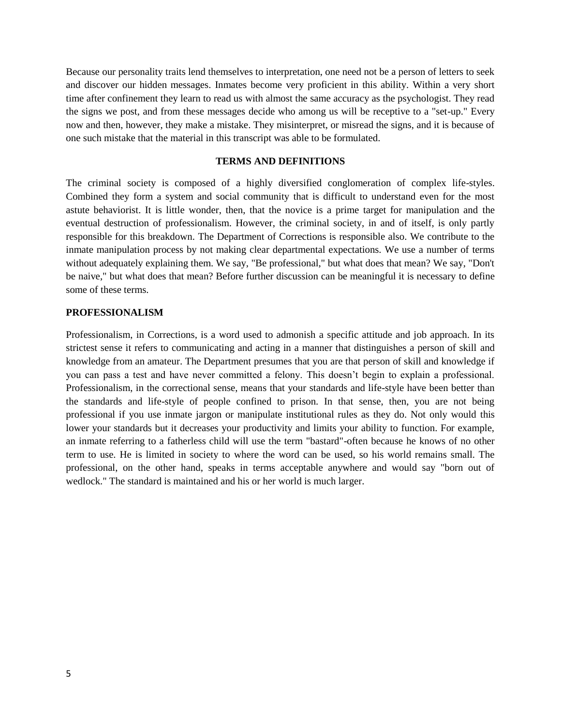Because our personality traits lend themselves to interpretation, one need not be a person of letters to seek and discover our hidden messages. Inmates become very proficient in this ability. Within a very short time after confinement they learn to read us with almost the same accuracy as the psychologist. They read the signs we post, and from these messages decide who among us will be receptive to a "set-up." Every now and then, however, they make a mistake. They misinterpret, or misread the signs, and it is because of one such mistake that the material in this transcript was able to be formulated.

# **TERMS AND DEFINITIONS**

The criminal society is composed of a highly diversified conglomeration of complex life-styles. Combined they form a system and social community that is difficult to understand even for the most astute behaviorist. It is little wonder, then, that the novice is a prime target for manipulation and the eventual destruction of professionalism. However, the criminal society, in and of itself, is only partly responsible for this breakdown. The Department of Corrections is responsible also. We contribute to the inmate manipulation process by not making clear departmental expectations. We use a number of terms without adequately explaining them. We say, "Be professional," but what does that mean? We say, "Don't be naive," but what does that mean? Before further discussion can be meaningful it is necessary to define some of these terms.

#### **PROFESSIONALISM**

Professionalism, in Corrections, is a word used to admonish a specific attitude and job approach. In its strictest sense it refers to communicating and acting in a manner that distinguishes a person of skill and knowledge from an amateur. The Department presumes that you are that person of skill and knowledge if you can pass a test and have never committed a felony. This doesn"t begin to explain a professional. Professionalism, in the correctional sense, means that your standards and life-style have been better than the standards and life-style of people confined to prison. In that sense, then, you are not being professional if you use inmate jargon or manipulate institutional rules as they do. Not only would this lower your standards but it decreases your productivity and limits your ability to function. For example, an inmate referring to a fatherless child will use the term "bastard"-often because he knows of no other term to use. He is limited in society to where the word can be used, so his world remains small. The professional, on the other hand, speaks in terms acceptable anywhere and would say "born out of wedlock." The standard is maintained and his or her world is much larger.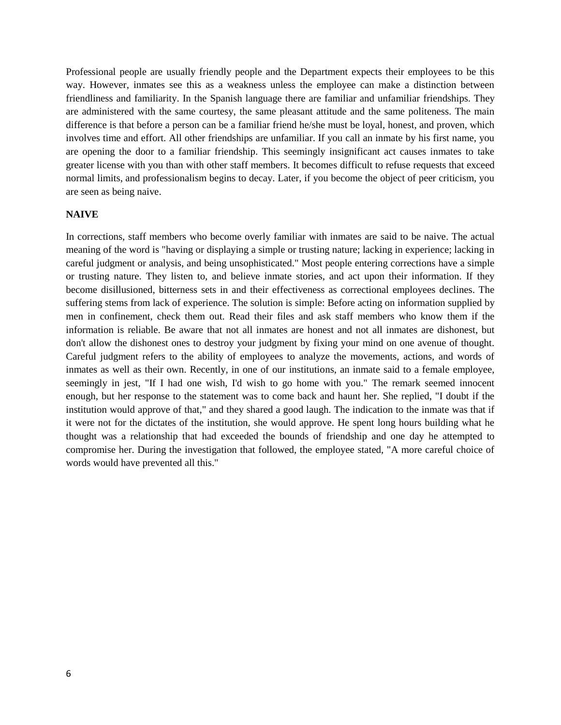Professional people are usually friendly people and the Department expects their employees to be this way. However, inmates see this as a weakness unless the employee can make a distinction between friendliness and familiarity. In the Spanish language there are familiar and unfamiliar friendships. They are administered with the same courtesy, the same pleasant attitude and the same politeness. The main difference is that before a person can be a familiar friend he/she must be loyal, honest, and proven, which involves time and effort. All other friendships are unfamiliar. If you call an inmate by his first name, you are opening the door to a familiar friendship. This seemingly insignificant act causes inmates to take greater license with you than with other staff members. It becomes difficult to refuse requests that exceed normal limits, and professionalism begins to decay. Later, if you become the object of peer criticism, you are seen as being naive.

#### **NAIVE**

In corrections, staff members who become overly familiar with inmates are said to be naive. The actual meaning of the word is "having or displaying a simple or trusting nature; lacking in experience; lacking in careful judgment or analysis, and being unsophisticated." Most people entering corrections have a simple or trusting nature. They listen to, and believe inmate stories, and act upon their information. If they become disillusioned, bitterness sets in and their effectiveness as correctional employees declines. The suffering stems from lack of experience. The solution is simple: Before acting on information supplied by men in confinement, check them out. Read their files and ask staff members who know them if the information is reliable. Be aware that not all inmates are honest and not all inmates are dishonest, but don't allow the dishonest ones to destroy your judgment by fixing your mind on one avenue of thought. Careful judgment refers to the ability of employees to analyze the movements, actions, and words of inmates as well as their own. Recently, in one of our institutions, an inmate said to a female employee, seemingly in jest, "If I had one wish, I'd wish to go home with you." The remark seemed innocent enough, but her response to the statement was to come back and haunt her. She replied, "I doubt if the institution would approve of that," and they shared a good laugh. The indication to the inmate was that if it were not for the dictates of the institution, she would approve. He spent long hours building what he thought was a relationship that had exceeded the bounds of friendship and one day he attempted to compromise her. During the investigation that followed, the employee stated, "A more careful choice of words would have prevented all this."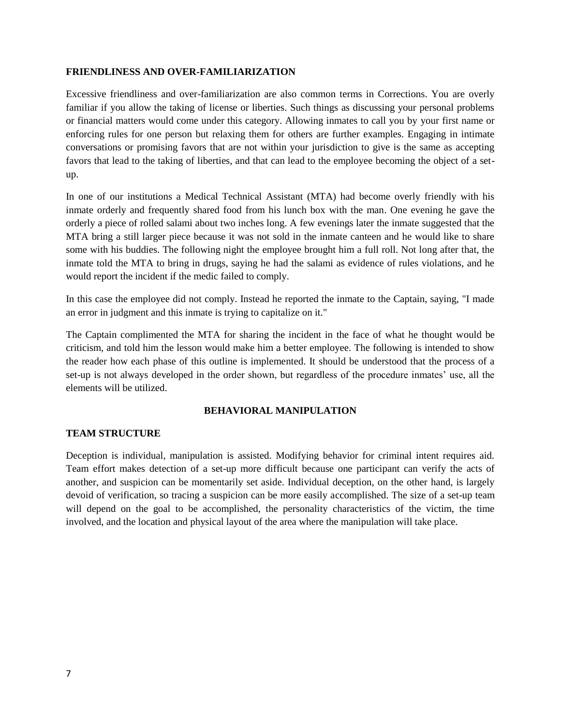#### **FRIENDLINESS AND OVER-FAMILIARIZATION**

Excessive friendliness and over-familiarization are also common terms in Corrections. You are overly familiar if you allow the taking of license or liberties. Such things as discussing your personal problems or financial matters would come under this category. Allowing inmates to call you by your first name or enforcing rules for one person but relaxing them for others are further examples. Engaging in intimate conversations or promising favors that are not within your jurisdiction to give is the same as accepting favors that lead to the taking of liberties, and that can lead to the employee becoming the object of a setup.

In one of our institutions a Medical Technical Assistant (MTA) had become overly friendly with his inmate orderly and frequently shared food from his lunch box with the man. One evening he gave the orderly a piece of rolled salami about two inches long. A few evenings later the inmate suggested that the MTA bring a still larger piece because it was not sold in the inmate canteen and he would like to share some with his buddies. The following night the employee brought him a full roll. Not long after that, the inmate told the MTA to bring in drugs, saying he had the salami as evidence of rules violations, and he would report the incident if the medic failed to comply.

In this case the employee did not comply. Instead he reported the inmate to the Captain, saying, "I made an error in judgment and this inmate is trying to capitalize on it."

The Captain complimented the MTA for sharing the incident in the face of what he thought would be criticism, and told him the lesson would make him a better employee. The following is intended to show the reader how each phase of this outline is implemented. It should be understood that the process of a set-up is not always developed in the order shown, but regardless of the procedure inmates' use, all the elements will be utilized.

# **BEHAVIORAL MANIPULATION**

# **TEAM STRUCTURE**

Deception is individual, manipulation is assisted. Modifying behavior for criminal intent requires aid. Team effort makes detection of a set-up more difficult because one participant can verify the acts of another, and suspicion can be momentarily set aside. Individual deception, on the other hand, is largely devoid of verification, so tracing a suspicion can be more easily accomplished. The size of a set-up team will depend on the goal to be accomplished, the personality characteristics of the victim, the time involved, and the location and physical layout of the area where the manipulation will take place.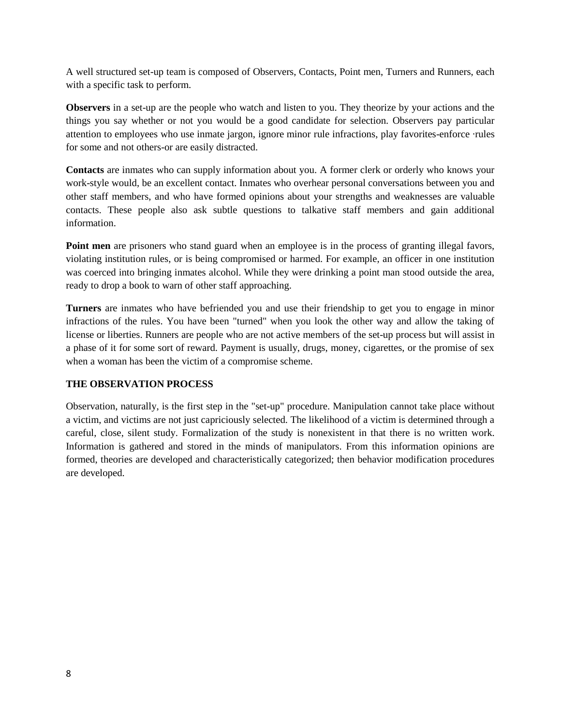A well structured set-up team is composed of Observers, Contacts, Point men, Turners and Runners, each with a specific task to perform.

**Observers** in a set-up are the people who watch and listen to you. They theorize by your actions and the things you say whether or not you would be a good candidate for selection. Observers pay particular attention to employees who use inmate jargon, ignore minor rule infractions, play favorites-enforce ·rules for some and not others-or are easily distracted.

**Contacts** are inmates who can supply information about you. A former clerk or orderly who knows your work-style would, be an excellent contact. Inmates who overhear personal conversations between you and other staff members, and who have formed opinions about your strengths and weaknesses are valuable contacts. These people also ask subtle questions to talkative staff members and gain additional information.

**Point men** are prisoners who stand guard when an employee is in the process of granting illegal favors, violating institution rules, or is being compromised or harmed. For example, an officer in one institution was coerced into bringing inmates alcohol. While they were drinking a point man stood outside the area, ready to drop a book to warn of other staff approaching.

**Turners** are inmates who have befriended you and use their friendship to get you to engage in minor infractions of the rules. You have been "turned" when you look the other way and allow the taking of license or liberties. Runners are people who are not active members of the set-up process but will assist in a phase of it for some sort of reward. Payment is usually, drugs, money, cigarettes, or the promise of sex when a woman has been the victim of a compromise scheme.

# **THE OBSERVATION PROCESS**

Observation, naturally, is the first step in the "set-up" procedure. Manipulation cannot take place without a victim, and victims are not just capriciously selected. The likelihood of a victim is determined through a careful, close, silent study. Formalization of the study is nonexistent in that there is no written work. Information is gathered and stored in the minds of manipulators. From this information opinions are formed, theories are developed and characteristically categorized; then behavior modification procedures are developed.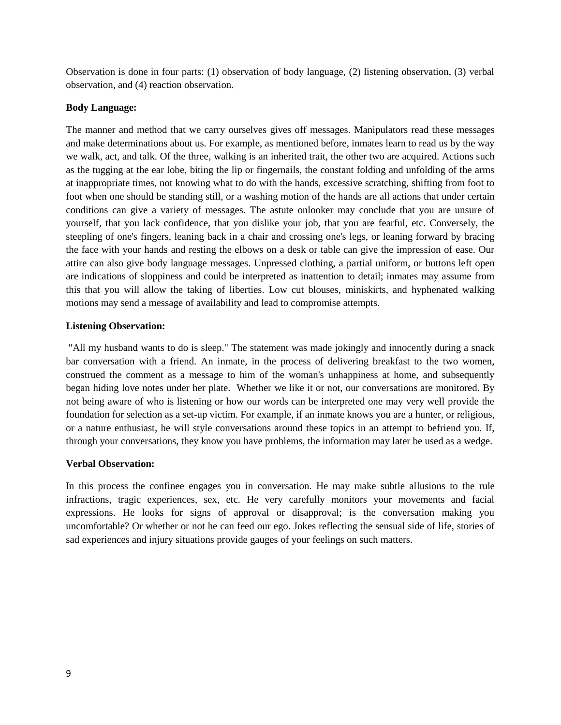Observation is done in four parts: (1) observation of body language, (2) listening observation, (3) verbal observation, and (4) reaction observation.

# **Body Language:**

The manner and method that we carry ourselves gives off messages. Manipulators read these messages and make determinations about us. For example, as mentioned before, inmates learn to read us by the way we walk, act, and talk. Of the three, walking is an inherited trait, the other two are acquired. Actions such as the tugging at the ear lobe, biting the lip or fingernails, the constant folding and unfolding of the arms at inappropriate times, not knowing what to do with the hands, excessive scratching, shifting from foot to foot when one should be standing still, or a washing motion of the hands are all actions that under certain conditions can give a variety of messages. The astute onlooker may conclude that you are unsure of yourself, that you lack confidence, that you dislike your job, that you are fearful, etc. Conversely, the steepling of one's fingers, leaning back in a chair and crossing one's legs, or leaning forward by bracing the face with your hands and resting the elbows on a desk or table can give the impression of ease. Our attire can also give body language messages. Unpressed clothing, a partial uniform, or buttons left open are indications of sloppiness and could be interpreted as inattention to detail; inmates may assume from this that you will allow the taking of liberties. Low cut blouses, miniskirts, and hyphenated walking motions may send a message of availability and lead to compromise attempts.

# **Listening Observation:**

"All my husband wants to do is sleep." The statement was made jokingly and innocently during a snack bar conversation with a friend. An inmate, in the process of delivering breakfast to the two women, construed the comment as a message to him of the woman's unhappiness at home, and subsequently began hiding love notes under her plate. Whether we like it or not, our conversations are monitored. By not being aware of who is listening or how our words can be interpreted one may very well provide the foundation for selection as a set-up victim. For example, if an inmate knows you are a hunter, or religious, or a nature enthusiast, he will style conversations around these topics in an attempt to befriend you. If, through your conversations, they know you have problems, the information may later be used as a wedge.

# **Verbal Observation:**

In this process the confinee engages you in conversation. He may make subtle allusions to the rule infractions, tragic experiences, sex, etc. He very carefully monitors your movements and facial expressions. He looks for signs of approval or disapproval; is the conversation making you uncomfortable? Or whether or not he can feed our ego. Jokes reflecting the sensual side of life, stories of sad experiences and injury situations provide gauges of your feelings on such matters.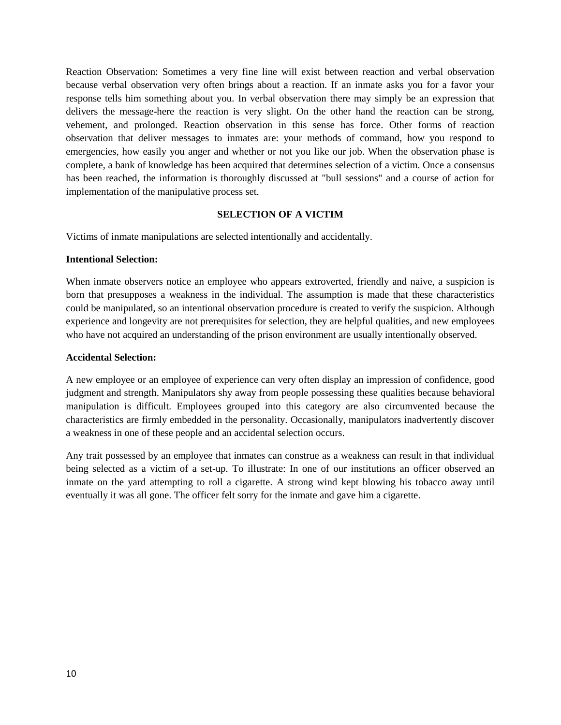Reaction Observation: Sometimes a very fine line will exist between reaction and verbal observation because verbal observation very often brings about a reaction. If an inmate asks you for a favor your response tells him something about you. In verbal observation there may simply be an expression that delivers the message-here the reaction is very slight. On the other hand the reaction can be strong, vehement, and prolonged. Reaction observation in this sense has force. Other forms of reaction observation that deliver messages to inmates are: your methods of command, how you respond to emergencies, how easily you anger and whether or not you like our job. When the observation phase is complete, a bank of knowledge has been acquired that determines selection of a victim. Once a consensus has been reached, the information is thoroughly discussed at "bull sessions" and a course of action for implementation of the manipulative process set.

#### **SELECTION OF A VICTIM**

Victims of inmate manipulations are selected intentionally and accidentally.

#### **Intentional Selection:**

When inmate observers notice an employee who appears extroverted, friendly and naive, a suspicion is born that presupposes a weakness in the individual. The assumption is made that these characteristics could be manipulated, so an intentional observation procedure is created to verify the suspicion. Although experience and longevity are not prerequisites for selection, they are helpful qualities, and new employees who have not acquired an understanding of the prison environment are usually intentionally observed.

### **Accidental Selection:**

A new employee or an employee of experience can very often display an impression of confidence, good judgment and strength. Manipulators shy away from people possessing these qualities because behavioral manipulation is difficult. Employees grouped into this category are also circumvented because the characteristics are firmly embedded in the personality. Occasionally, manipulators inadvertently discover a weakness in one of these people and an accidental selection occurs.

Any trait possessed by an employee that inmates can construe as a weakness can result in that individual being selected as a victim of a set-up. To illustrate: In one of our institutions an officer observed an inmate on the yard attempting to roll a cigarette. A strong wind kept blowing his tobacco away until eventually it was all gone. The officer felt sorry for the inmate and gave him a cigarette.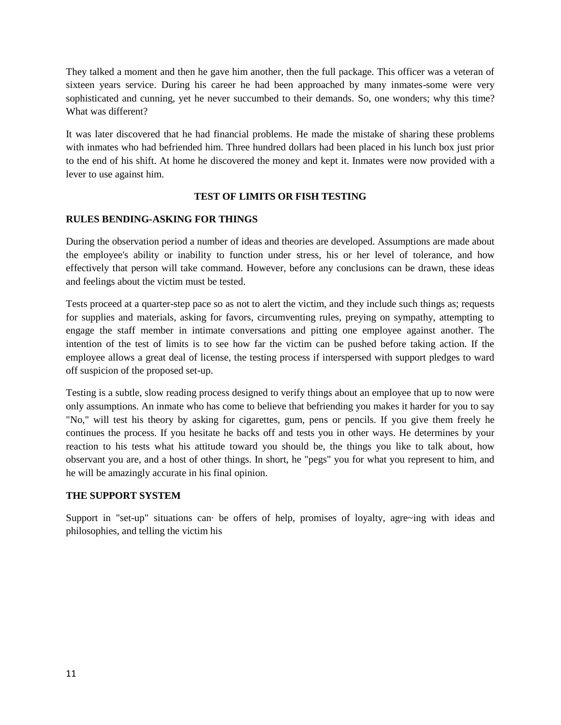They talked a moment and then he gave him another, then the full package. This officer was a veteran of sixteen years service. During his career he had been approached by many inmates-some were very sophisticated and cunning, yet he never succumbed to their demands. So, one wonders; why this time? What was different?

It was later discovered that he had financial problems. He made the mistake of sharing these problems with inmates who had befriended him. Three hundred dollars had been placed in his lunch box just prior to the end of his shift. At home he discovered the money and kept it. Inmates were now provided with a lever to use against him.

# **TEST OF LIMITS OR FISH TESTING**

# **RULES BENDING-ASKING FOR THINGS**

During the observation period a number of ideas and theories are developed. Assumptions are made about the employee's ability or inability to function under stress, his or her level of tolerance, and how effectively that person will take command. However, before any conclusions can be drawn, these ideas and feelings about the victim must be tested.

Tests proceed at a quarter-step pace so as not to alert the victim, and they include such things as; requests for supplies and materials, asking for favors, circumventing rules, preying on sympathy, attempting to engage the staff member in intimate conversations and pitting one employee against another. The intention of the test of limits is to see how far the victim can be pushed before taking action. If the employee allows a great deal of license, the testing process if interspersed with support pledges to ward off suspicion of the proposed set-up.

Testing is a subtle, slow reading process designed to verify things about an employee that up to now were only assumptions. An inmate who has come to believe that befriending you makes it harder for you to say "No," will test his theory by asking for cigarettes, gum, pens or pencils. If you give them freely he continues the process. If you hesitate he backs off and tests you in other ways. He determines by your reaction to his tests what his attitude toward you should be, the things you like to talk about, how observant you are, and a host of other things. In short, he "pegs" you for what you represent to him, and he will be amazingly accurate in his final opinion.

# **THE SUPPORT SYSTEM**

Support in "set-up" situations can· be offers of help, promises of loyalty, agre~ing with ideas and philosophies, and telling the victim his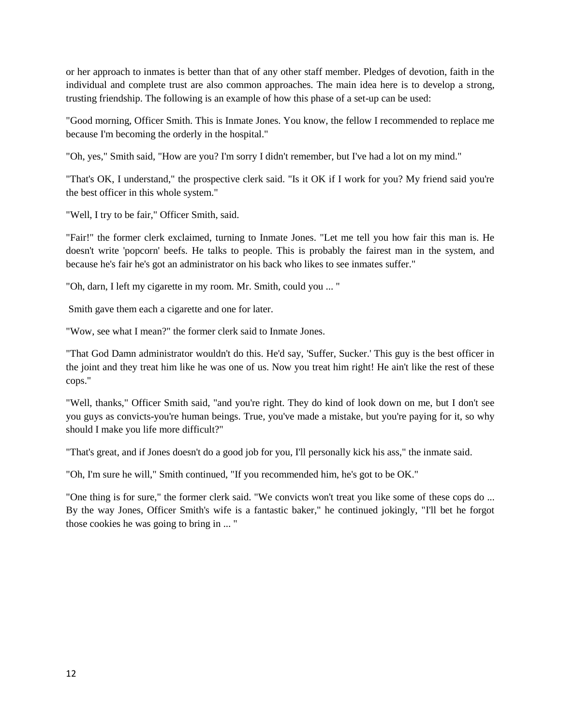or her approach to inmates is better than that of any other staff member. Pledges of devotion, faith in the individual and complete trust are also common approaches. The main idea here is to develop a strong, trusting friendship. The following is an example of how this phase of a set-up can be used:

"Good morning, Officer Smith. This is Inmate Jones. You know, the fellow I recommended to replace me because I'm becoming the orderly in the hospital."

"Oh, yes," Smith said, "How are you? I'm sorry I didn't remember, but I've had a lot on my mind."

"That's OK, I understand," the prospective clerk said. "Is it OK if I work for you? My friend said you're the best officer in this whole system."

"Well, I try to be fair," Officer Smith, said.

"Fair!" the former clerk exclaimed, turning to Inmate Jones. "Let me tell you how fair this man is. He doesn't write 'popcorn' beefs. He talks to people. This is probably the fairest man in the system, and because he's fair he's got an administrator on his back who likes to see inmates suffer."

"Oh, darn, I left my cigarette in my room. Mr. Smith, could you ... "

Smith gave them each a cigarette and one for later.

"Wow, see what I mean?" the former clerk said to Inmate Jones.

"That God Damn administrator wouldn't do this. He'd say, 'Suffer, Sucker.' This guy is the best officer in the joint and they treat him like he was one of us. Now you treat him right! He ain't like the rest of these cops."

"Well, thanks," Officer Smith said, "and you're right. They do kind of look down on me, but I don't see you guys as convicts-you're human beings. True, you've made a mistake, but you're paying for it, so why should I make you life more difficult?"

"That's great, and if Jones doesn't do a good job for you, I'll personally kick his ass," the inmate said.

"Oh, I'm sure he will," Smith continued, "If you recommended him, he's got to be OK."

"One thing is for sure," the former clerk said. "We convicts won't treat you like some of these cops do ... By the way Jones, Officer Smith's wife is a fantastic baker," he continued jokingly, "I'll bet he forgot those cookies he was going to bring in ... "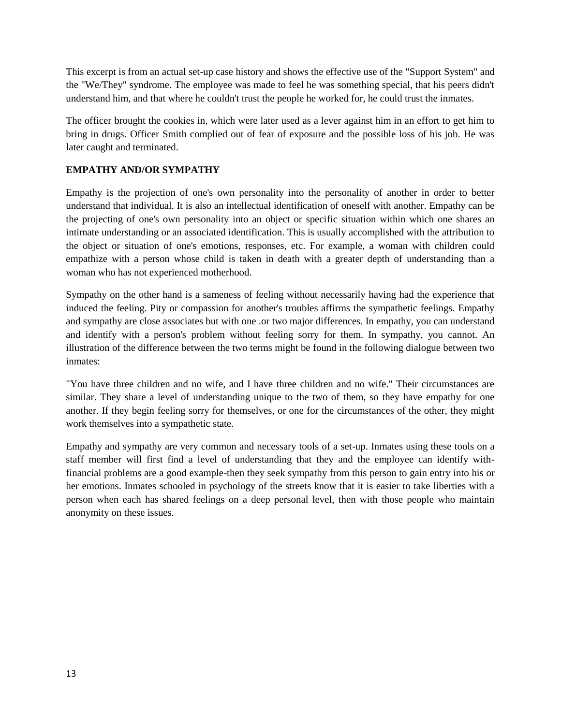This excerpt is from an actual set-up case history and shows the effective use of the "Support System" and the "We/They" syndrome. The employee was made to feel he was something special, that his peers didn't understand him, and that where he couldn't trust the people he worked for, he could trust the inmates.

The officer brought the cookies in, which were later used as a lever against him in an effort to get him to bring in drugs. Officer Smith complied out of fear of exposure and the possible loss of his job. He was later caught and terminated.

# **EMPATHY AND/OR SYMPATHY**

Empathy is the projection of one's own personality into the personality of another in order to better understand that individual. It is also an intellectual identification of oneself with another. Empathy can be the projecting of one's own personality into an object or specific situation within which one shares an intimate understanding or an associated identification. This is usually accomplished with the attribution to the object or situation of one's emotions, responses, etc. For example, a woman with children could empathize with a person whose child is taken in death with a greater depth of understanding than a woman who has not experienced motherhood.

Sympathy on the other hand is a sameness of feeling without necessarily having had the experience that induced the feeling. Pity or compassion for another's troubles affirms the sympathetic feelings. Empathy and sympathy are close associates but with one .or two major differences. In empathy, you can understand and identify with a person's problem without feeling sorry for them. In sympathy, you cannot. An illustration of the difference between the two terms might be found in the following dialogue between two inmates:

"You have three children and no wife, and I have three children and no wife." Their circumstances are similar. They share a level of understanding unique to the two of them, so they have empathy for one another. If they begin feeling sorry for themselves, or one for the circumstances of the other, they might work themselves into a sympathetic state.

Empathy and sympathy are very common and necessary tools of a set-up. Inmates using these tools on a staff member will first find a level of understanding that they and the employee can identify withfinancial problems are a good example-then they seek sympathy from this person to gain entry into his or her emotions. Inmates schooled in psychology of the streets know that it is easier to take liberties with a person when each has shared feelings on a deep personal level, then with those people who maintain anonymity on these issues.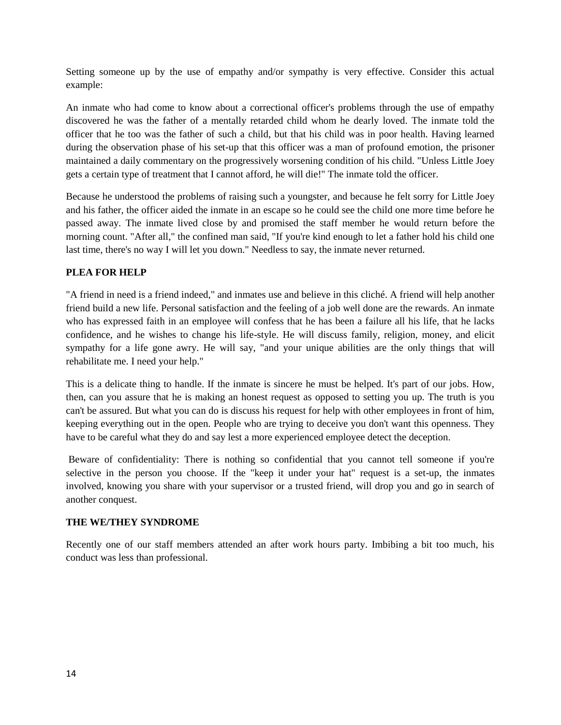Setting someone up by the use of empathy and/or sympathy is very effective. Consider this actual example:

An inmate who had come to know about a correctional officer's problems through the use of empathy discovered he was the father of a mentally retarded child whom he dearly loved. The inmate told the officer that he too was the father of such a child, but that his child was in poor health. Having learned during the observation phase of his set-up that this officer was a man of profound emotion, the prisoner maintained a daily commentary on the progressively worsening condition of his child. "Unless Little Joey gets a certain type of treatment that I cannot afford, he will die!" The inmate told the officer.

Because he understood the problems of raising such a youngster, and because he felt sorry for Little Joey and his father, the officer aided the inmate in an escape so he could see the child one more time before he passed away. The inmate lived close by and promised the staff member he would return before the morning count. "After all," the confined man said, "If you're kind enough to let a father hold his child one last time, there's no way I will let you down." Needless to say, the inmate never returned.

# **PLEA FOR HELP**

"A friend in need is a friend indeed," and inmates use and believe in this cliché. A friend will help another friend build a new life. Personal satisfaction and the feeling of a job well done are the rewards. An inmate who has expressed faith in an employee will confess that he has been a failure all his life, that he lacks confidence, and he wishes to change his life-style. He will discuss family, religion, money, and elicit sympathy for a life gone awry. He will say, "and your unique abilities are the only things that will rehabilitate me. I need your help."

This is a delicate thing to handle. If the inmate is sincere he must be helped. It's part of our jobs. How, then, can you assure that he is making an honest request as opposed to setting you up. The truth is you can't be assured. But what you can do is discuss his request for help with other employees in front of him, keeping everything out in the open. People who are trying to deceive you don't want this openness. They have to be careful what they do and say lest a more experienced employee detect the deception.

Beware of confidentiality: There is nothing so confidential that you cannot tell someone if you're selective in the person you choose. If the "keep it under your hat" request is a set-up, the inmates involved, knowing you share with your supervisor or a trusted friend, will drop you and go in search of another conquest.

# **THE WE/THEY SYNDROME**

Recently one of our staff members attended an after work hours party. Imbibing a bit too much, his conduct was less than professional.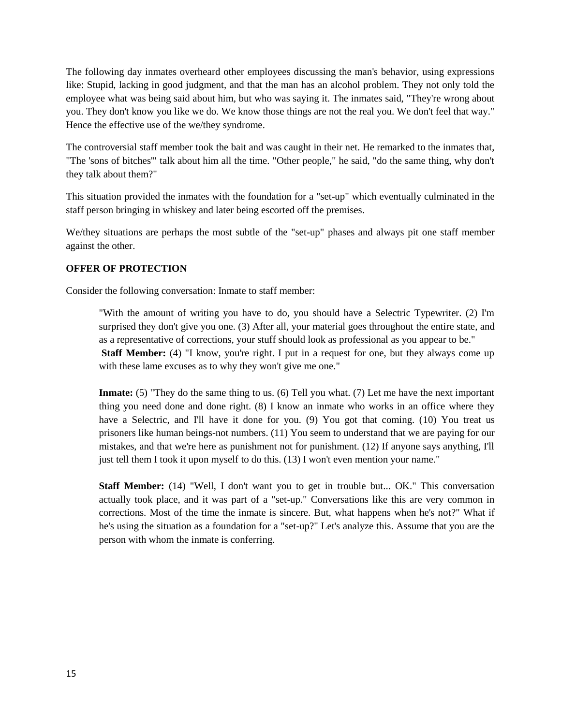The following day inmates overheard other employees discussing the man's behavior, using expressions like: Stupid, lacking in good judgment, and that the man has an alcohol problem. They not only told the employee what was being said about him, but who was saying it. The inmates said, "They're wrong about you. They don't know you like we do. We know those things are not the real you. We don't feel that way." Hence the effective use of the we/they syndrome.

The controversial staff member took the bait and was caught in their net. He remarked to the inmates that, "The 'sons of bitches'" talk about him all the time. "Other people," he said, "do the same thing, why don't they talk about them?"

This situation provided the inmates with the foundation for a "set-up" which eventually culminated in the staff person bringing in whiskey and later being escorted off the premises.

We/they situations are perhaps the most subtle of the "set-up" phases and always pit one staff member against the other.

# **OFFER OF PROTECTION**

Consider the following conversation: Inmate to staff member:

"With the amount of writing you have to do, you should have a Selectric Typewriter. (2) I'm surprised they don't give you one. (3) After all, your material goes throughout the entire state, and as a representative of corrections, your stuff should look as professional as you appear to be." **Staff Member:** (4) "I know, you're right. I put in a request for one, but they always come up with these lame excuses as to why they won't give me one."

**Inmate:** (5) "They do the same thing to us. (6) Tell you what. (7) Let me have the next important thing you need done and done right. (8) I know an inmate who works in an office where they have a Selectric, and I'll have it done for you. (9) You got that coming. (10) You treat us prisoners like human beings-not numbers. (11) You seem to understand that we are paying for our mistakes, and that we're here as punishment not for punishment. (12) If anyone says anything, I'll just tell them I took it upon myself to do this. (13) I won't even mention your name."

**Staff Member:** (14) "Well, I don't want you to get in trouble but... OK." This conversation actually took place, and it was part of a "set-up." Conversations like this are very common in corrections. Most of the time the inmate is sincere. But, what happens when he's not?" What if he's using the situation as a foundation for a "set-up?" Let's analyze this. Assume that you are the person with whom the inmate is conferring.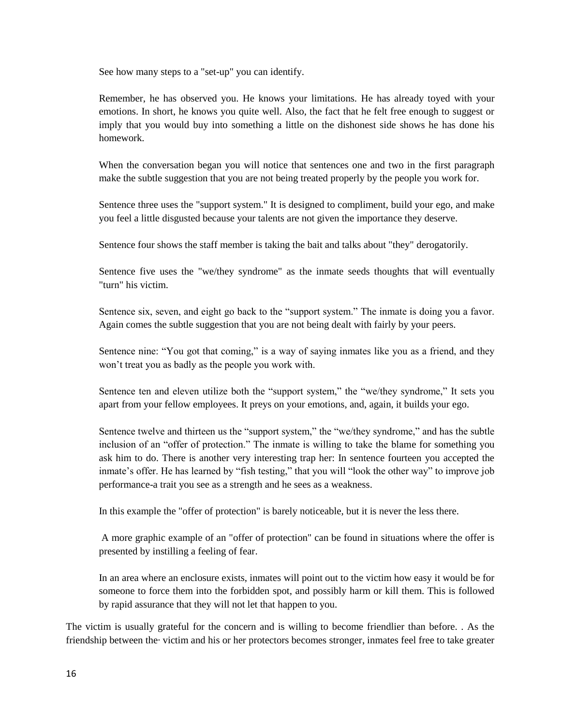See how many steps to a "set-up" you can identify.

Remember, he has observed you. He knows your limitations. He has already toyed with your emotions. In short, he knows you quite well. Also, the fact that he felt free enough to suggest or imply that you would buy into something a little on the dishonest side shows he has done his homework.

When the conversation began you will notice that sentences one and two in the first paragraph make the subtle suggestion that you are not being treated properly by the people you work for.

Sentence three uses the "support system." It is designed to compliment, build your ego, and make you feel a little disgusted because your talents are not given the importance they deserve.

Sentence four shows the staff member is taking the bait and talks about "they" derogatorily.

Sentence five uses the "we/they syndrome" as the inmate seeds thoughts that will eventually "turn" his victim.

Sentence six, seven, and eight go back to the "support system." The inmate is doing you a favor. Again comes the subtle suggestion that you are not being dealt with fairly by your peers.

Sentence nine: "You got that coming," is a way of saying inmates like you as a friend, and they won"t treat you as badly as the people you work with.

Sentence ten and eleven utilize both the "support system," the "we/they syndrome," It sets you apart from your fellow employees. It preys on your emotions, and, again, it builds your ego.

Sentence twelve and thirteen us the "support system," the "we/they syndrome," and has the subtle inclusion of an "offer of protection." The inmate is willing to take the blame for something you ask him to do. There is another very interesting trap her: In sentence fourteen you accepted the inmate's offer. He has learned by "fish testing," that you will "look the other way" to improve job performance-a trait you see as a strength and he sees as a weakness.

In this example the "offer of protection" is barely noticeable, but it is never the less there.

A more graphic example of an "offer of protection" can be found in situations where the offer is presented by instilling a feeling of fear.

In an area where an enclosure exists, inmates will point out to the victim how easy it would be for someone to force them into the forbidden spot, and possibly harm or kill them. This is followed by rapid assurance that they will not let that happen to you.

The victim is usually grateful for the concern and is willing to become friendlier than before. . As the friendship between the· victim and his or her protectors becomes stronger, inmates feel free to take greater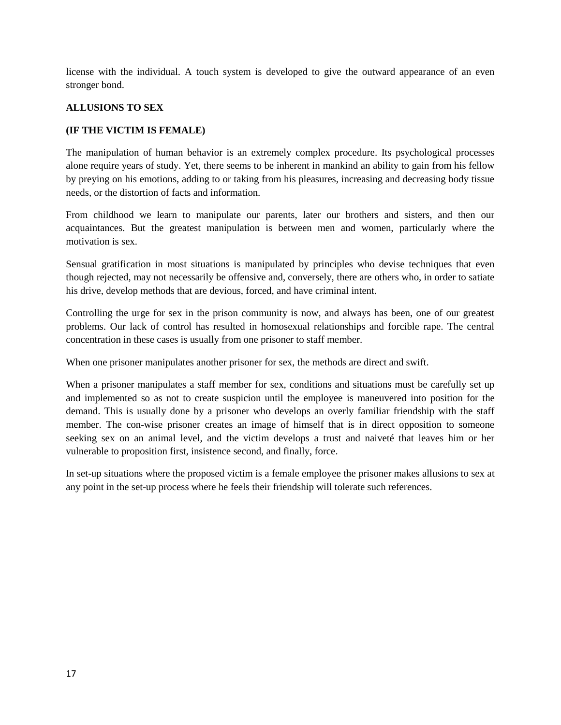license with the individual. A touch system is developed to give the outward appearance of an even stronger bond.

# **ALLUSIONS TO SEX**

# **(IF THE VICTIM IS FEMALE)**

The manipulation of human behavior is an extremely complex procedure. Its psychological processes alone require years of study. Yet, there seems to be inherent in mankind an ability to gain from his fellow by preying on his emotions, adding to or taking from his pleasures, increasing and decreasing body tissue needs, or the distortion of facts and information.

From childhood we learn to manipulate our parents, later our brothers and sisters, and then our acquaintances. But the greatest manipulation is between men and women, particularly where the motivation is sex.

Sensual gratification in most situations is manipulated by principles who devise techniques that even though rejected, may not necessarily be offensive and, conversely, there are others who, in order to satiate his drive, develop methods that are devious, forced, and have criminal intent.

Controlling the urge for sex in the prison community is now, and always has been, one of our greatest problems. Our lack of control has resulted in homosexual relationships and forcible rape. The central concentration in these cases is usually from one prisoner to staff member.

When one prisoner manipulates another prisoner for sex, the methods are direct and swift.

When a prisoner manipulates a staff member for sex, conditions and situations must be carefully set up and implemented so as not to create suspicion until the employee is maneuvered into position for the demand. This is usually done by a prisoner who develops an overly familiar friendship with the staff member. The con-wise prisoner creates an image of himself that is in direct opposition to someone seeking sex on an animal level, and the victim develops a trust and naiveté that leaves him or her vulnerable to proposition first, insistence second, and finally, force.

In set-up situations where the proposed victim is a female employee the prisoner makes allusions to sex at any point in the set-up process where he feels their friendship will tolerate such references.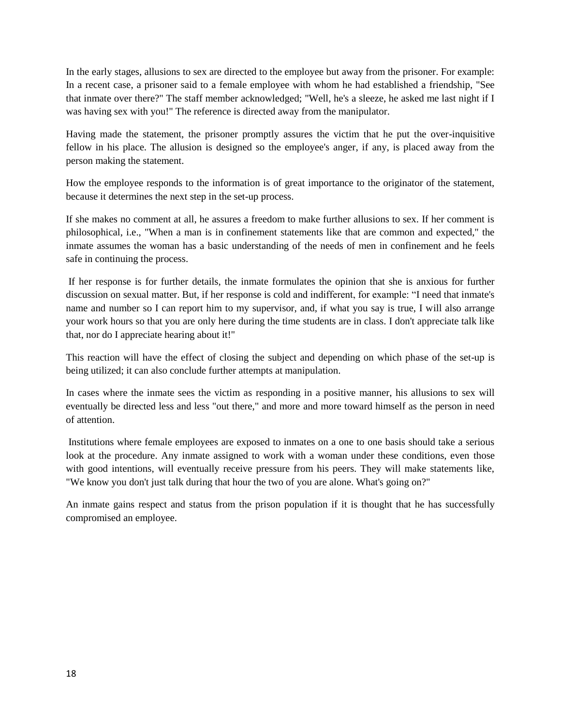In the early stages, allusions to sex are directed to the employee but away from the prisoner. For example: In a recent case, a prisoner said to a female employee with whom he had established a friendship, "See that inmate over there?" The staff member acknowledged; "Well, he's a sleeze, he asked me last night if I was having sex with you!" The reference is directed away from the manipulator.

Having made the statement, the prisoner promptly assures the victim that he put the over-inquisitive fellow in his place. The allusion is designed so the employee's anger, if any, is placed away from the person making the statement.

How the employee responds to the information is of great importance to the originator of the statement, because it determines the next step in the set-up process.

If she makes no comment at all, he assures a freedom to make further allusions to sex. If her comment is philosophical, i.e., "When a man is in confinement statements like that are common and expected," the inmate assumes the woman has a basic understanding of the needs of men in confinement and he feels safe in continuing the process.

If her response is for further details, the inmate formulates the opinion that she is anxious for further discussion on sexual matter. But, if her response is cold and indifferent, for example: "I need that inmate's name and number so I can report him to my supervisor, and, if what you say is true, I will also arrange your work hours so that you are only here during the time students are in class. I don't appreciate talk like that, nor do I appreciate hearing about it!"

This reaction will have the effect of closing the subject and depending on which phase of the set-up is being utilized; it can also conclude further attempts at manipulation.

In cases where the inmate sees the victim as responding in a positive manner, his allusions to sex will eventually be directed less and less "out there," and more and more toward himself as the person in need of attention.

Institutions where female employees are exposed to inmates on a one to one basis should take a serious look at the procedure. Any inmate assigned to work with a woman under these conditions, even those with good intentions, will eventually receive pressure from his peers. They will make statements like, "We know you don't just talk during that hour the two of you are alone. What's going on?"

An inmate gains respect and status from the prison population if it is thought that he has successfully compromised an employee.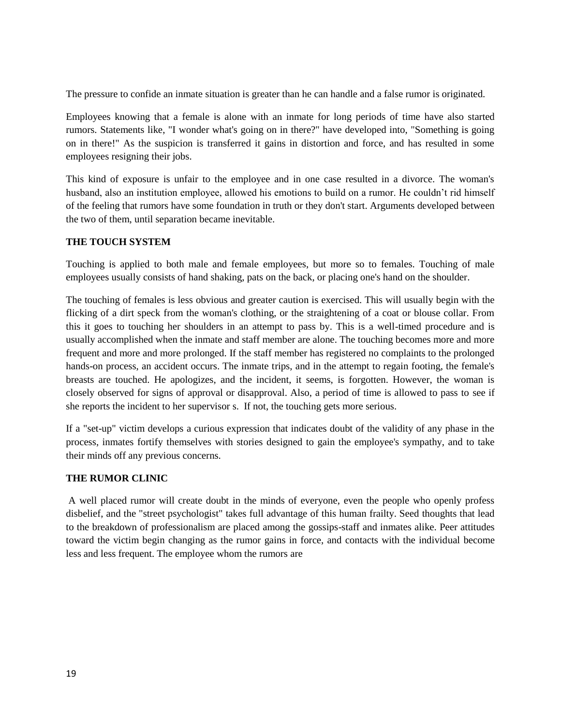The pressure to confide an inmate situation is greater than he can handle and a false rumor is originated.

Employees knowing that a female is alone with an inmate for long periods of time have also started rumors. Statements like, "I wonder what's going on in there?" have developed into, "Something is going on in there!" As the suspicion is transferred it gains in distortion and force, and has resulted in some employees resigning their jobs.

This kind of exposure is unfair to the employee and in one case resulted in a divorce. The woman's husband, also an institution employee, allowed his emotions to build on a rumor. He couldn't rid himself of the feeling that rumors have some foundation in truth or they don't start. Arguments developed between the two of them, until separation became inevitable.

# **THE TOUCH SYSTEM**

Touching is applied to both male and female employees, but more so to females. Touching of male employees usually consists of hand shaking, pats on the back, or placing one's hand on the shoulder.

The touching of females is less obvious and greater caution is exercised. This will usually begin with the flicking of a dirt speck from the woman's clothing, or the straightening of a coat or blouse collar. From this it goes to touching her shoulders in an attempt to pass by. This is a well-timed procedure and is usually accomplished when the inmate and staff member are alone. The touching becomes more and more frequent and more and more prolonged. If the staff member has registered no complaints to the prolonged hands-on process, an accident occurs. The inmate trips, and in the attempt to regain footing, the female's breasts are touched. He apologizes, and the incident, it seems, is forgotten. However, the woman is closely observed for signs of approval or disapproval. Also, a period of time is allowed to pass to see if she reports the incident to her supervisor s. If not, the touching gets more serious.

If a "set-up" victim develops a curious expression that indicates doubt of the validity of any phase in the process, inmates fortify themselves with stories designed to gain the employee's sympathy, and to take their minds off any previous concerns.

# **THE RUMOR CLINIC**

A well placed rumor will create doubt in the minds of everyone, even the people who openly profess disbelief, and the "street psychologist" takes full advantage of this human frailty. Seed thoughts that lead to the breakdown of professionalism are placed among the gossips-staff and inmates alike. Peer attitudes toward the victim begin changing as the rumor gains in force, and contacts with the individual become less and less frequent. The employee whom the rumors are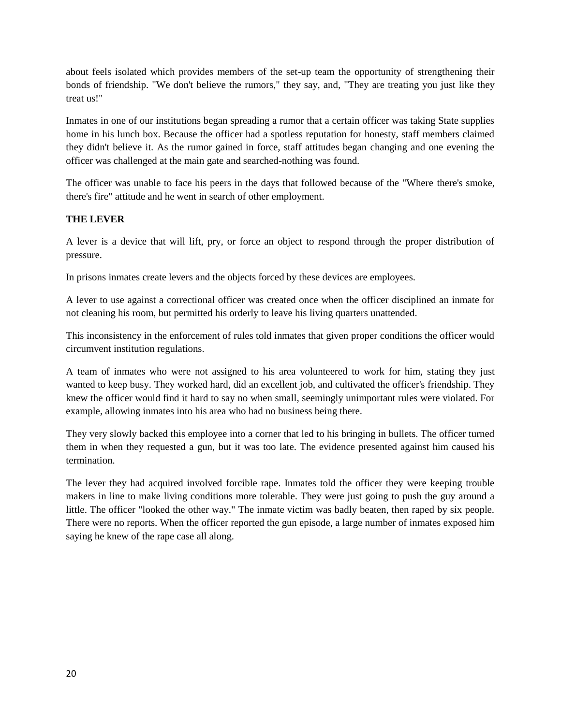about feels isolated which provides members of the set-up team the opportunity of strengthening their bonds of friendship. "We don't believe the rumors," they say, and, "They are treating you just like they treat us!"

Inmates in one of our institutions began spreading a rumor that a certain officer was taking State supplies home in his lunch box. Because the officer had a spotless reputation for honesty, staff members claimed they didn't believe it. As the rumor gained in force, staff attitudes began changing and one evening the officer was challenged at the main gate and searched-nothing was found.

The officer was unable to face his peers in the days that followed because of the "Where there's smoke, there's fire" attitude and he went in search of other employment.

# **THE LEVER**

A lever is a device that will lift, pry, or force an object to respond through the proper distribution of pressure.

In prisons inmates create levers and the objects forced by these devices are employees.

A lever to use against a correctional officer was created once when the officer disciplined an inmate for not cleaning his room, but permitted his orderly to leave his living quarters unattended.

This inconsistency in the enforcement of rules told inmates that given proper conditions the officer would circumvent institution regulations.

A team of inmates who were not assigned to his area volunteered to work for him, stating they just wanted to keep busy. They worked hard, did an excellent job, and cultivated the officer's friendship. They knew the officer would find it hard to say no when small, seemingly unimportant rules were violated. For example, allowing inmates into his area who had no business being there.

They very slowly backed this employee into a corner that led to his bringing in bullets. The officer turned them in when they requested a gun, but it was too late. The evidence presented against him caused his termination.

The lever they had acquired involved forcible rape. Inmates told the officer they were keeping trouble makers in line to make living conditions more tolerable. They were just going to push the guy around a little. The officer "looked the other way." The inmate victim was badly beaten, then raped by six people. There were no reports. When the officer reported the gun episode, a large number of inmates exposed him saying he knew of the rape case all along.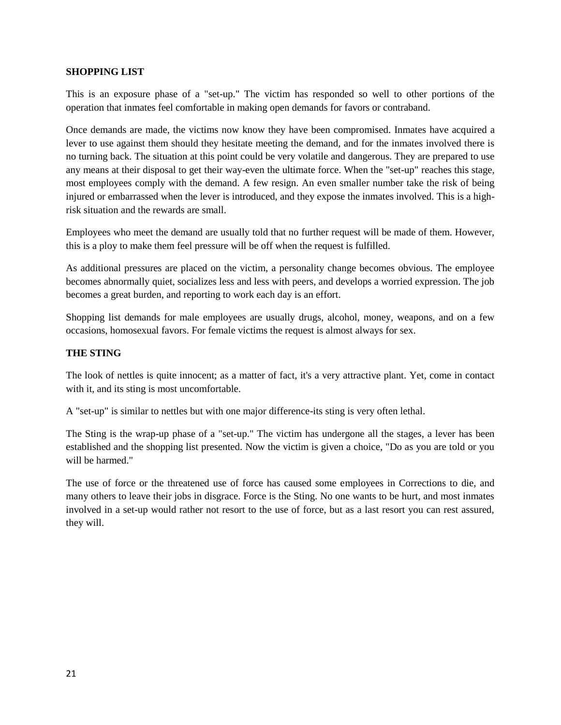# **SHOPPING LIST**

This is an exposure phase of a "set-up." The victim has responded so well to other portions of the operation that inmates feel comfortable in making open demands for favors or contraband.

Once demands are made, the victims now know they have been compromised. Inmates have acquired a lever to use against them should they hesitate meeting the demand, and for the inmates involved there is no turning back. The situation at this point could be very volatile and dangerous. They are prepared to use any means at their disposal to get their way-even the ultimate force. When the "set-up" reaches this stage, most employees comply with the demand. A few resign. An even smaller number take the risk of being injured or embarrassed when the lever is introduced, and they expose the inmates involved. This is a highrisk situation and the rewards are small.

Employees who meet the demand are usually told that no further request will be made of them. However, this is a ploy to make them feel pressure will be off when the request is fulfilled.

As additional pressures are placed on the victim, a personality change becomes obvious. The employee becomes abnormally quiet, socializes less and less with peers, and develops a worried expression. The job becomes a great burden, and reporting to work each day is an effort.

Shopping list demands for male employees are usually drugs, alcohol, money, weapons, and on a few occasions, homosexual favors. For female victims the request is almost always for sex.

# **THE STING**

The look of nettles is quite innocent; as a matter of fact, it's a very attractive plant. Yet, come in contact with it, and its sting is most uncomfortable.

A "set-up" is similar to nettles but with one major difference-its sting is very often lethal.

The Sting is the wrap-up phase of a "set-up." The victim has undergone all the stages, a lever has been established and the shopping list presented. Now the victim is given a choice, "Do as you are told or you will be harmed."

The use of force or the threatened use of force has caused some employees in Corrections to die, and many others to leave their jobs in disgrace. Force is the Sting. No one wants to be hurt, and most inmates involved in a set-up would rather not resort to the use of force, but as a last resort you can rest assured, they will.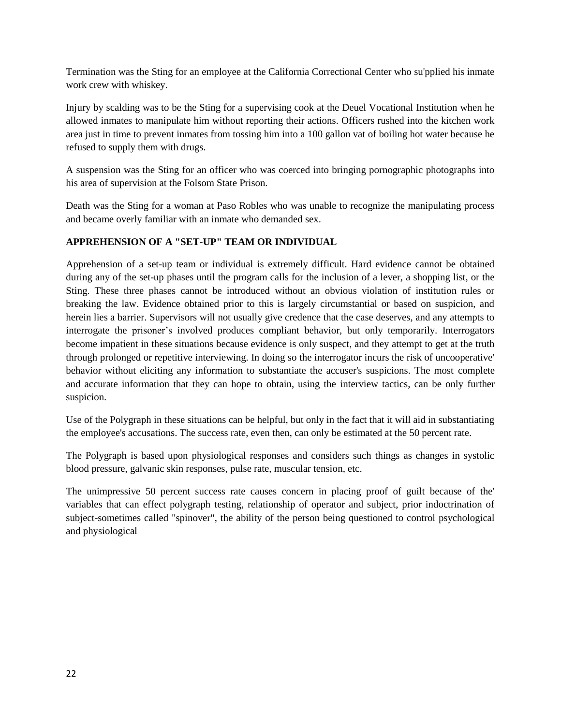Termination was the Sting for an employee at the California Correctional Center who su'pplied his inmate work crew with whiskey.

Injury by scalding was to be the Sting for a supervising cook at the Deuel Vocational Institution when he allowed inmates to manipulate him without reporting their actions. Officers rushed into the kitchen work area just in time to prevent inmates from tossing him into a 100 gallon vat of boiling hot water because he refused to supply them with drugs.

A suspension was the Sting for an officer who was coerced into bringing pornographic photographs into his area of supervision at the Folsom State Prison.

Death was the Sting for a woman at Paso Robles who was unable to recognize the manipulating process and became overly familiar with an inmate who demanded sex.

# **APPREHENSION OF A "SET-UP" TEAM OR INDIVIDUAL**

Apprehension of a set-up team or individual is extremely difficult. Hard evidence cannot be obtained during any of the set-up phases until the program calls for the inclusion of a lever, a shopping list, or the Sting. These three phases cannot be introduced without an obvious violation of institution rules or breaking the law. Evidence obtained prior to this is largely circumstantial or based on suspicion, and herein lies a barrier. Supervisors will not usually give credence that the case deserves, and any attempts to interrogate the prisoner's involved produces compliant behavior, but only temporarily. Interrogators become impatient in these situations because evidence is only suspect, and they attempt to get at the truth through prolonged or repetitive interviewing. In doing so the interrogator incurs the risk of uncooperative' behavior without eliciting any information to substantiate the accuser's suspicions. The most complete and accurate information that they can hope to obtain, using the interview tactics, can be only further suspicion.

Use of the Polygraph in these situations can be helpful, but only in the fact that it will aid in substantiating the employee's accusations. The success rate, even then, can only be estimated at the 50 percent rate.

The Polygraph is based upon physiological responses and considers such things as changes in systolic blood pressure, galvanic skin responses, pulse rate, muscular tension, etc.

The unimpressive 50 percent success rate causes concern in placing proof of guilt because of the' variables that can effect polygraph testing, relationship of operator and subject, prior indoctrination of subject-sometimes called "spinover", the ability of the person being questioned to control psychological and physiological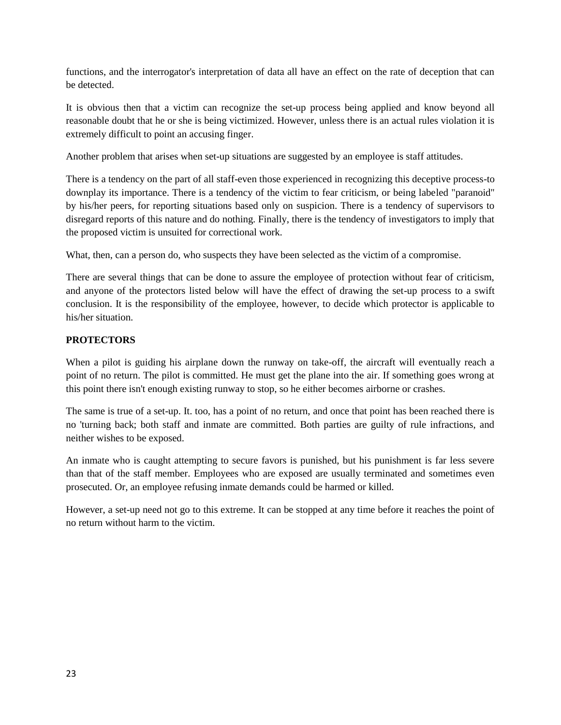functions, and the interrogator's interpretation of data all have an effect on the rate of deception that can be detected.

It is obvious then that a victim can recognize the set-up process being applied and know beyond all reasonable doubt that he or she is being victimized. However, unless there is an actual rules violation it is extremely difficult to point an accusing finger.

Another problem that arises when set-up situations are suggested by an employee is staff attitudes.

There is a tendency on the part of all staff-even those experienced in recognizing this deceptive process-to downplay its importance. There is a tendency of the victim to fear criticism, or being labeled "paranoid" by his/her peers, for reporting situations based only on suspicion. There is a tendency of supervisors to disregard reports of this nature and do nothing. Finally, there is the tendency of investigators to imply that the proposed victim is unsuited for correctional work.

What, then, can a person do, who suspects they have been selected as the victim of a compromise.

There are several things that can be done to assure the employee of protection without fear of criticism, and anyone of the protectors listed below will have the effect of drawing the set-up process to a swift conclusion. It is the responsibility of the employee, however, to decide which protector is applicable to his/her situation.

# **PROTECTORS**

When a pilot is guiding his airplane down the runway on take-off, the aircraft will eventually reach a point of no return. The pilot is committed. He must get the plane into the air. If something goes wrong at this point there isn't enough existing runway to stop, so he either becomes airborne or crashes.

The same is true of a set-up. It. too, has a point of no return, and once that point has been reached there is no 'turning back; both staff and inmate are committed. Both parties are guilty of rule infractions, and neither wishes to be exposed.

An inmate who is caught attempting to secure favors is punished, but his punishment is far less severe than that of the staff member. Employees who are exposed are usually terminated and sometimes even prosecuted. Or, an employee refusing inmate demands could be harmed or killed.

However, a set-up need not go to this extreme. It can be stopped at any time before it reaches the point of no return without harm to the victim.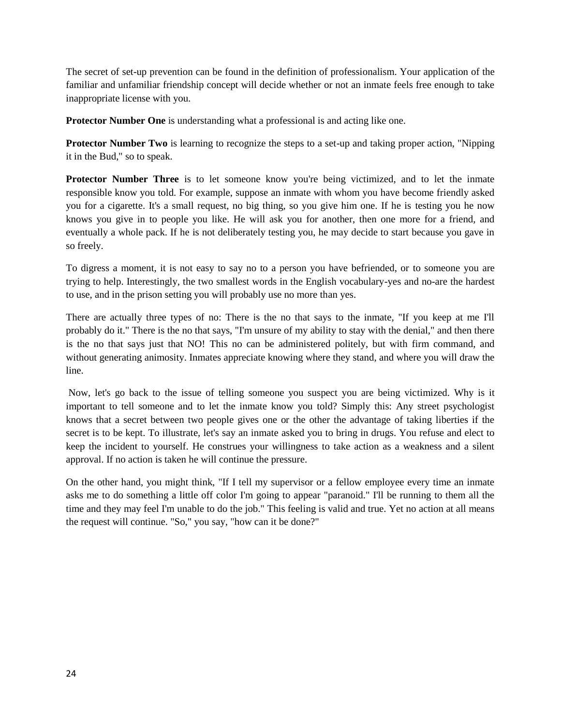The secret of set-up prevention can be found in the definition of professionalism. Your application of the familiar and unfamiliar friendship concept will decide whether or not an inmate feels free enough to take inappropriate license with you.

**Protector Number One** is understanding what a professional is and acting like one.

**Protector Number Two** is learning to recognize the steps to a set-up and taking proper action, "Nipping" it in the Bud," so to speak.

**Protector Number Three** is to let someone know you're being victimized, and to let the inmate responsible know you told. For example, suppose an inmate with whom you have become friendly asked you for a cigarette. It's a small request, no big thing, so you give him one. If he is testing you he now knows you give in to people you like. He will ask you for another, then one more for a friend, and eventually a whole pack. If he is not deliberately testing you, he may decide to start because you gave in so freely.

To digress a moment, it is not easy to say no to a person you have befriended, or to someone you are trying to help. Interestingly, the two smallest words in the English vocabulary-yes and no-are the hardest to use, and in the prison setting you will probably use no more than yes.

There are actually three types of no: There is the no that says to the inmate, "If you keep at me I'll probably do it." There is the no that says, "I'm unsure of my ability to stay with the denial," and then there is the no that says just that NO! This no can be administered politely, but with firm command, and without generating animosity. Inmates appreciate knowing where they stand, and where you will draw the line.

Now, let's go back to the issue of telling someone you suspect you are being victimized. Why is it important to tell someone and to let the inmate know you told? Simply this: Any street psychologist knows that a secret between two people gives one or the other the advantage of taking liberties if the secret is to be kept. To illustrate, let's say an inmate asked you to bring in drugs. You refuse and elect to keep the incident to yourself. He construes your willingness to take action as a weakness and a silent approval. If no action is taken he will continue the pressure.

On the other hand, you might think, "If I tell my supervisor or a fellow employee every time an inmate asks me to do something a little off color I'm going to appear "paranoid." I'll be running to them all the time and they may feel I'm unable to do the job." This feeling is valid and true. Yet no action at all means the request will continue. "So," you say, "how can it be done?"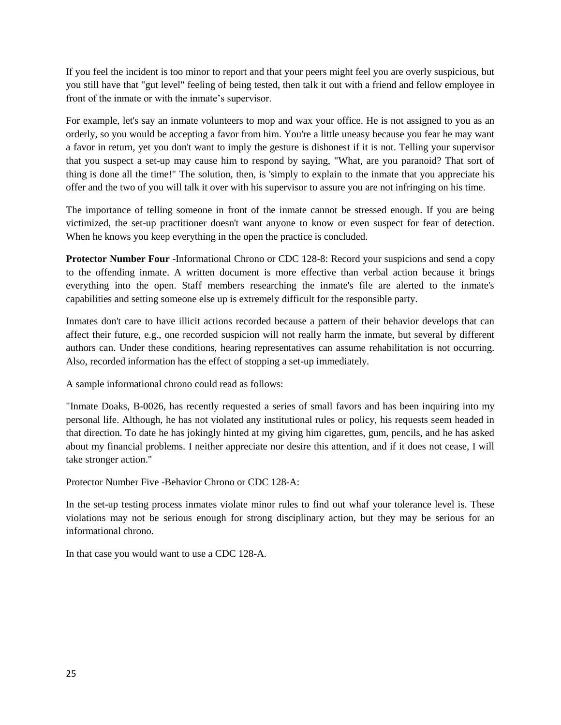If you feel the incident is too minor to report and that your peers might feel you are overly suspicious, but you still have that "gut level" feeling of being tested, then talk it out with a friend and fellow employee in front of the inmate or with the inmate's supervisor.

For example, let's say an inmate volunteers to mop and wax your office. He is not assigned to you as an orderly, so you would be accepting a favor from him. You're a little uneasy because you fear he may want a favor in return, yet you don't want to imply the gesture is dishonest if it is not. Telling your supervisor that you suspect a set-up may cause him to respond by saying, "What, are you paranoid? That sort of thing is done all the time!" The solution, then, is 'simply to explain to the inmate that you appreciate his offer and the two of you will talk it over with his supervisor to assure you are not infringing on his time.

The importance of telling someone in front of the inmate cannot be stressed enough. If you are being victimized, the set-up practitioner doesn't want anyone to know or even suspect for fear of detection. When he knows you keep everything in the open the practice is concluded.

**Protector Number Four** -Informational Chrono or CDC 128-8: Record your suspicions and send a copy to the offending inmate. A written document is more effective than verbal action because it brings everything into the open. Staff members researching the inmate's file are alerted to the inmate's capabilities and setting someone else up is extremely difficult for the responsible party.

Inmates don't care to have illicit actions recorded because a pattern of their behavior develops that can affect their future, e.g., one recorded suspicion will not really harm the inmate, but several by different authors can. Under these conditions, hearing representatives can assume rehabilitation is not occurring. Also, recorded information has the effect of stopping a set-up immediately.

A sample informational chrono could read as follows:

"Inmate Doaks, B-0026, has recently requested a series of small favors and has been inquiring into my personal life. Although, he has not violated any institutional rules or policy, his requests seem headed in that direction. To date he has jokingly hinted at my giving him cigarettes, gum, pencils, and he has asked about my financial problems. I neither appreciate nor desire this attention, and if it does not cease, I will take stronger action."

Protector Number Five -Behavior Chrono or CDC 128-A:

In the set-up testing process inmates violate minor rules to find out whaf your tolerance level is. These violations may not be serious enough for strong disciplinary action, but they may be serious for an informational chrono.

In that case you would want to use a CDC 128-A.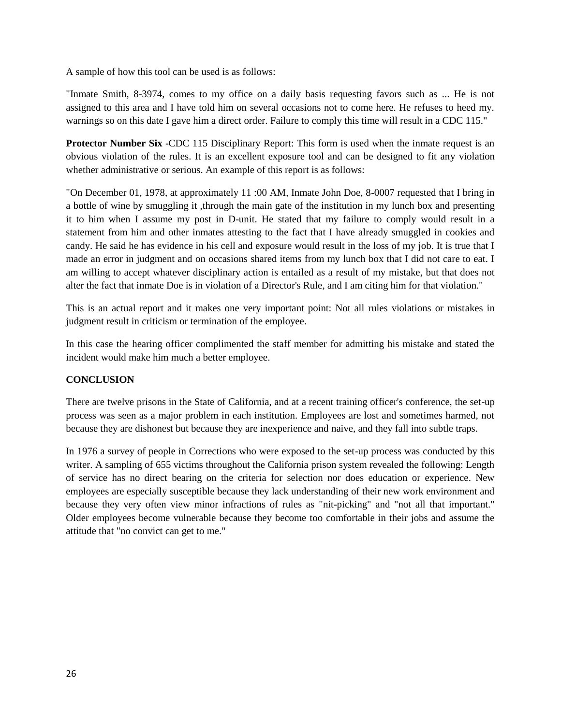A sample of how this tool can be used is as follows:

"Inmate Smith, 8-3974, comes to my office on a daily basis requesting favors such as ... He is not assigned to this area and I have told him on several occasions not to come here. He refuses to heed my. warnings so on this date I gave him a direct order. Failure to comply this time will result in a CDC 115."

**Protector Number Six** -CDC 115 Disciplinary Report: This form is used when the inmate request is an obvious violation of the rules. It is an excellent exposure tool and can be designed to fit any violation whether administrative or serious. An example of this report is as follows:

"On December 01, 1978, at approximately 11 :00 AM, Inmate John Doe, 8-0007 requested that I bring in a bottle of wine by smuggling it ,through the main gate of the institution in my lunch box and presenting it to him when I assume my post in D-unit. He stated that my failure to comply would result in a statement from him and other inmates attesting to the fact that I have already smuggled in cookies and candy. He said he has evidence in his cell and exposure would result in the loss of my job. It is true that I made an error in judgment and on occasions shared items from my lunch box that I did not care to eat. I am willing to accept whatever disciplinary action is entailed as a result of my mistake, but that does not alter the fact that inmate Doe is in violation of a Director's Rule, and I am citing him for that violation."

This is an actual report and it makes one very important point: Not all rules violations or mistakes in judgment result in criticism or termination of the employee.

In this case the hearing officer complimented the staff member for admitting his mistake and stated the incident would make him much a better employee.

# **CONCLUSION**

There are twelve prisons in the State of California, and at a recent training officer's conference, the set-up process was seen as a major problem in each institution. Employees are lost and sometimes harmed, not because they are dishonest but because they are inexperience and naive, and they fall into subtle traps.

In 1976 a survey of people in Corrections who were exposed to the set-up process was conducted by this writer. A sampling of 655 victims throughout the California prison system revealed the following: Length of service has no direct bearing on the criteria for selection nor does education or experience. New employees are especially susceptible because they lack understanding of their new work environment and because they very often view minor infractions of rules as "nit-picking" and "not all that important." Older employees become vulnerable because they become too comfortable in their jobs and assume the attitude that "no convict can get to me."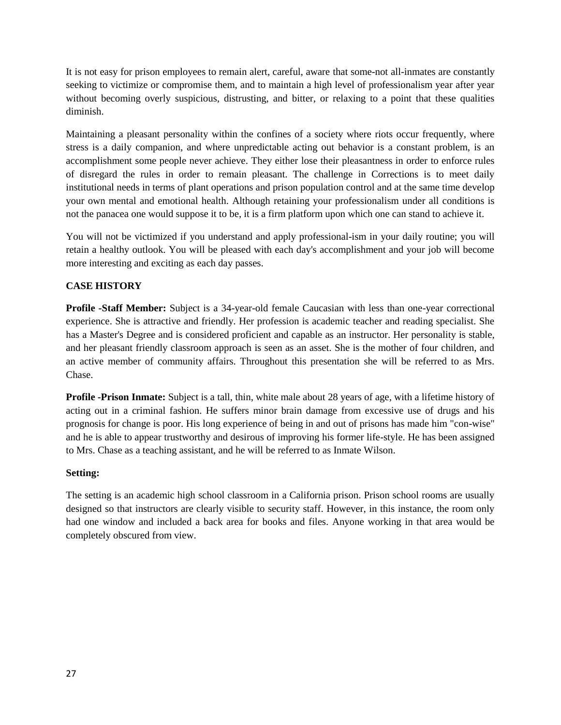It is not easy for prison employees to remain alert, careful, aware that some-not all-inmates are constantly seeking to victimize or compromise them, and to maintain a high level of professionalism year after year without becoming overly suspicious, distrusting, and bitter, or relaxing to a point that these qualities diminish.

Maintaining a pleasant personality within the confines of a society where riots occur frequently, where stress is a daily companion, and where unpredictable acting out behavior is a constant problem, is an accomplishment some people never achieve. They either lose their pleasantness in order to enforce rules of disregard the rules in order to remain pleasant. The challenge in Corrections is to meet daily institutional needs in terms of plant operations and prison population control and at the same time develop your own mental and emotional health. Although retaining your professionalism under all conditions is not the panacea one would suppose it to be, it is a firm platform upon which one can stand to achieve it.

You will not be victimized if you understand and apply professional-ism in your daily routine; you will retain a healthy outlook. You will be pleased with each day's accomplishment and your job will become more interesting and exciting as each day passes.

# **CASE HISTORY**

**Profile -Staff Member:** Subject is a 34-year-old female Caucasian with less than one-year correctional experience. She is attractive and friendly. Her profession is academic teacher and reading specialist. She has a Master's Degree and is considered proficient and capable as an instructor. Her personality is stable, and her pleasant friendly classroom approach is seen as an asset. She is the mother of four children, and an active member of community affairs. Throughout this presentation she will be referred to as Mrs. Chase.

**Profile -Prison Inmate:** Subject is a tall, thin, white male about 28 years of age, with a lifetime history of acting out in a criminal fashion. He suffers minor brain damage from excessive use of drugs and his prognosis for change is poor. His long experience of being in and out of prisons has made him "con-wise" and he is able to appear trustworthy and desirous of improving his former life-style. He has been assigned to Mrs. Chase as a teaching assistant, and he will be referred to as Inmate Wilson.

# **Setting:**

The setting is an academic high school classroom in a California prison. Prison school rooms are usually designed so that instructors are clearly visible to security staff. However, in this instance, the room only had one window and included a back area for books and files. Anyone working in that area would be completely obscured from view.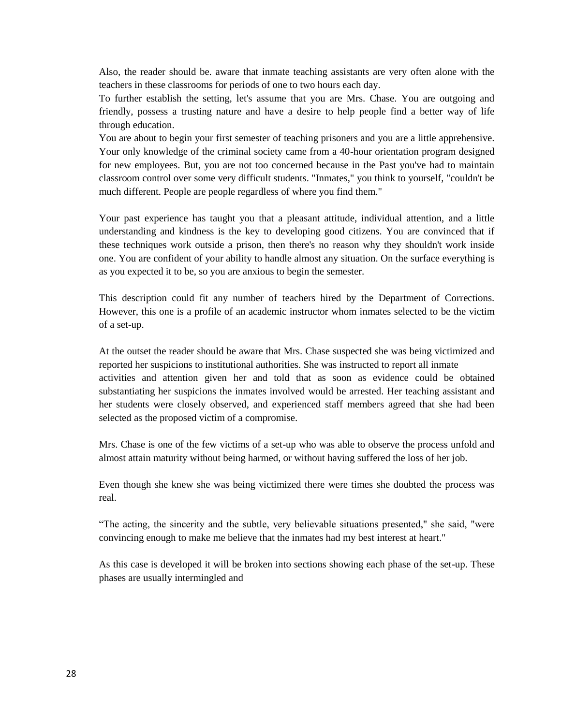Also, the reader should be. aware that inmate teaching assistants are very often alone with the teachers in these classrooms for periods of one to two hours each day.

To further establish the setting, let's assume that you are Mrs. Chase. You are outgoing and friendly, possess a trusting nature and have a desire to help people find a better way of life through education.

You are about to begin your first semester of teaching prisoners and you are a little apprehensive. Your only knowledge of the criminal society came from a 40-hour orientation program designed for new employees. But, you are not too concerned because in the Past you've had to maintain classroom control over some very difficult students. "Inmates," you think to yourself, "couldn't be much different. People are people regardless of where you find them."

Your past experience has taught you that a pleasant attitude, individual attention, and a little understanding and kindness is the key to developing good citizens. You are convinced that if these techniques work outside a prison, then there's no reason why they shouldn't work inside one. You are confident of your ability to handle almost any situation. On the surface everything is as you expected it to be, so you are anxious to begin the semester.

This description could fit any number of teachers hired by the Department of Corrections. However, this one is a profile of an academic instructor whom inmates selected to be the victim of a set-up.

At the outset the reader should be aware that Mrs. Chase suspected she was being victimized and reported her suspicions to institutional authorities. She was instructed to report all inmate activities and attention given her and told that as soon as evidence could be obtained substantiating her suspicions the inmates involved would be arrested. Her teaching assistant and her students were closely observed, and experienced staff members agreed that she had been selected as the proposed victim of a compromise.

Mrs. Chase is one of the few victims of a set-up who was able to observe the process unfold and almost attain maturity without being harmed, or without having suffered the loss of her job.

Even though she knew she was being victimized there were times she doubted the process was real.

"The acting, the sincerity and the subtle, very believable situations presented," she said, "were convincing enough to make me believe that the inmates had my best interest at heart."

As this case is developed it will be broken into sections showing each phase of the set-up. These phases are usually intermingled and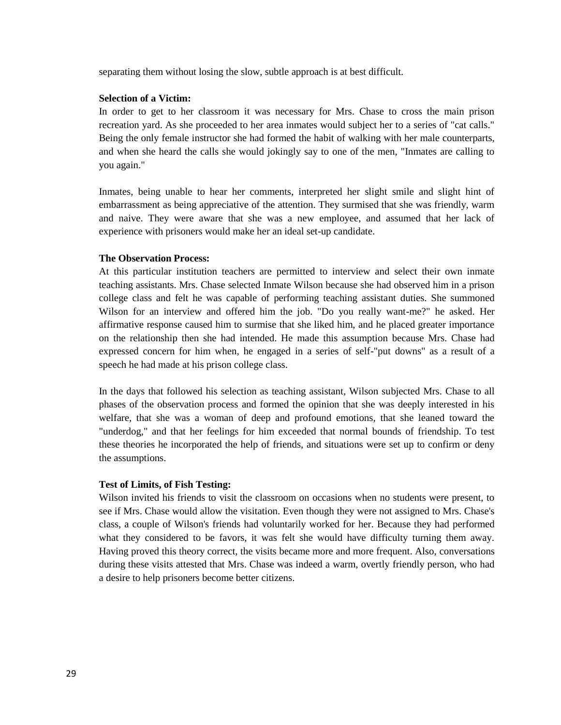separating them without losing the slow, subtle approach is at best difficult.

# **Selection of a Victim:**

In order to get to her classroom it was necessary for Mrs. Chase to cross the main prison recreation yard. As she proceeded to her area inmates would subject her to a series of "cat calls." Being the only female instructor she had formed the habit of walking with her male counterparts, and when she heard the calls she would jokingly say to one of the men, "Inmates are calling to you again."

Inmates, being unable to hear her comments, interpreted her slight smile and slight hint of embarrassment as being appreciative of the attention. They surmised that she was friendly, warm and naive. They were aware that she was a new employee, and assumed that her lack of experience with prisoners would make her an ideal set-up candidate.

# **The Observation Process:**

At this particular institution teachers are permitted to interview and select their own inmate teaching assistants. Mrs. Chase selected Inmate Wilson because she had observed him in a prison college class and felt he was capable of performing teaching assistant duties. She summoned Wilson for an interview and offered him the job. "Do you really want-me?" he asked. Her affirmative response caused him to surmise that she liked him, and he placed greater importance on the relationship then she had intended. He made this assumption because Mrs. Chase had expressed concern for him when, he engaged in a series of self-"put downs" as a result of a speech he had made at his prison college class.

In the days that followed his selection as teaching assistant, Wilson subjected Mrs. Chase to all phases of the observation process and formed the opinion that she was deeply interested in his welfare, that she was a woman of deep and profound emotions, that she leaned toward the "underdog," and that her feelings for him exceeded that normal bounds of friendship. To test these theories he incorporated the help of friends, and situations were set up to confirm or deny the assumptions.

# **Test of Limits, of Fish Testing:**

Wilson invited his friends to visit the classroom on occasions when no students were present, to see if Mrs. Chase would allow the visitation. Even though they were not assigned to Mrs. Chase's class, a couple of Wilson's friends had voluntarily worked for her. Because they had performed what they considered to be favors, it was felt she would have difficulty turning them away. Having proved this theory correct, the visits became more and more frequent. Also, conversations during these visits attested that Mrs. Chase was indeed a warm, overtly friendly person, who had a desire to help prisoners become better citizens.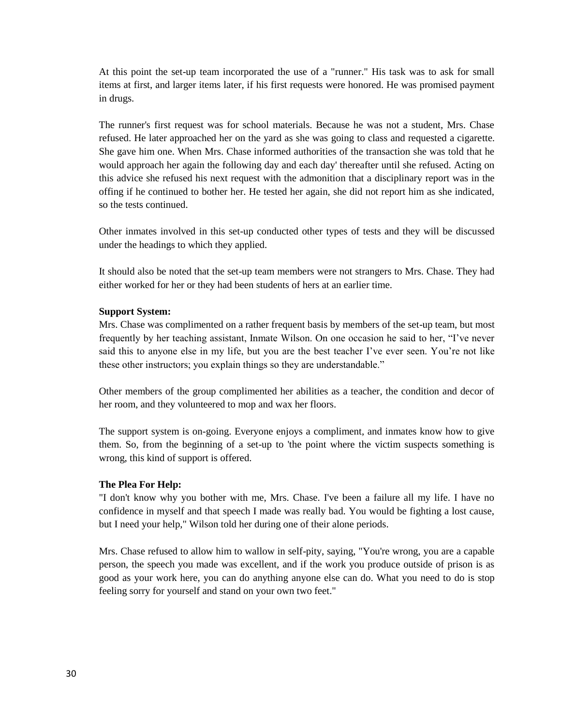At this point the set-up team incorporated the use of a "runner." His task was to ask for small items at first, and larger items later, if his first requests were honored. He was promised payment in drugs.

The runner's first request was for school materials. Because he was not a student, Mrs. Chase refused. He later approached her on the yard as she was going to class and requested a cigarette. She gave him one. When Mrs. Chase informed authorities of the transaction she was told that he would approach her again the following day and each day' thereafter until she refused. Acting on this advice she refused his next request with the admonition that a disciplinary report was in the offing if he continued to bother her. He tested her again, she did not report him as she indicated, so the tests continued.

Other inmates involved in this set-up conducted other types of tests and they will be discussed under the headings to which they applied.

It should also be noted that the set-up team members were not strangers to Mrs. Chase. They had either worked for her or they had been students of hers at an earlier time.

# **Support System:**

Mrs. Chase was complimented on a rather frequent basis by members of the set-up team, but most frequently by her teaching assistant, Inmate Wilson. On one occasion he said to her, "I"ve never said this to anyone else in my life, but you are the best teacher I"ve ever seen. You"re not like these other instructors; you explain things so they are understandable."

Other members of the group complimented her abilities as a teacher, the condition and decor of her room, and they volunteered to mop and wax her floors.

The support system is on-going. Everyone enjoys a compliment, and inmates know how to give them. So, from the beginning of a set-up to 'the point where the victim suspects something is wrong, this kind of support is offered.

# **The Plea For Help:**

"I don't know why you bother with me, Mrs. Chase. I've been a failure all my life. I have no confidence in myself and that speech I made was really bad. You would be fighting a lost cause, but I need your help," Wilson told her during one of their alone periods.

Mrs. Chase refused to allow him to wallow in self-pity, saying, "You're wrong, you are a capable person, the speech you made was excellent, and if the work you produce outside of prison is as good as your work here, you can do anything anyone else can do. What you need to do is stop feeling sorry for yourself and stand on your own two feet."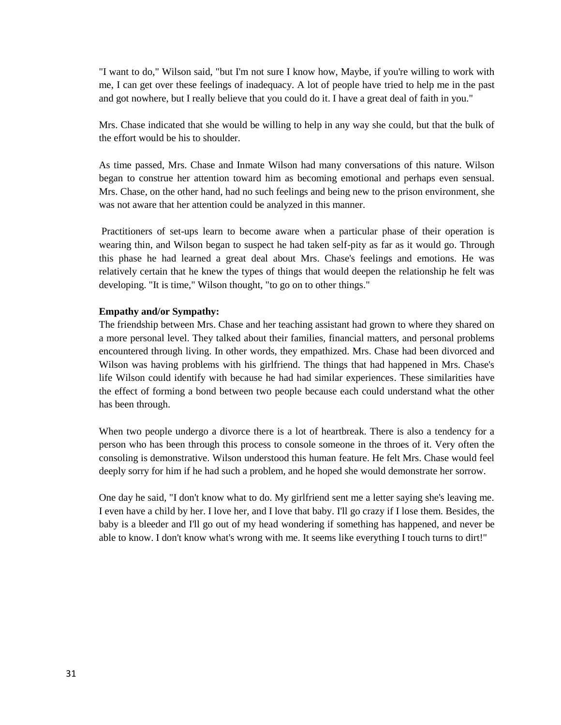"I want to do," Wilson said, "but I'm not sure I know how, Maybe, if you're willing to work with me, I can get over these feelings of inadequacy. A lot of people have tried to help me in the past and got nowhere, but I really believe that you could do it. I have a great deal of faith in you."

Mrs. Chase indicated that she would be willing to help in any way she could, but that the bulk of the effort would be his to shoulder.

As time passed, Mrs. Chase and Inmate Wilson had many conversations of this nature. Wilson began to construe her attention toward him as becoming emotional and perhaps even sensual. Mrs. Chase, on the other hand, had no such feelings and being new to the prison environment, she was not aware that her attention could be analyzed in this manner.

Practitioners of set-ups learn to become aware when a particular phase of their operation is wearing thin, and Wilson began to suspect he had taken self-pity as far as it would go. Through this phase he had learned a great deal about Mrs. Chase's feelings and emotions. He was relatively certain that he knew the types of things that would deepen the relationship he felt was developing. "It is time," Wilson thought, "to go on to other things."

### **Empathy and/or Sympathy:**

The friendship between Mrs. Chase and her teaching assistant had grown to where they shared on a more personal level. They talked about their families, financial matters, and personal problems encountered through living. In other words, they empathized. Mrs. Chase had been divorced and Wilson was having problems with his girlfriend. The things that had happened in Mrs. Chase's life Wilson could identify with because he had had similar experiences. These similarities have the effect of forming a bond between two people because each could understand what the other has been through.

When two people undergo a divorce there is a lot of heartbreak. There is also a tendency for a person who has been through this process to console someone in the throes of it. Very often the consoling is demonstrative. Wilson understood this human feature. He felt Mrs. Chase would feel deeply sorry for him if he had such a problem, and he hoped she would demonstrate her sorrow.

One day he said, "I don't know what to do. My girlfriend sent me a letter saying she's leaving me. I even have a child by her. I love her, and I love that baby. I'll go crazy if I lose them. Besides, the baby is a bleeder and I'll go out of my head wondering if something has happened, and never be able to know. I don't know what's wrong with me. It seems like everything I touch turns to dirt!"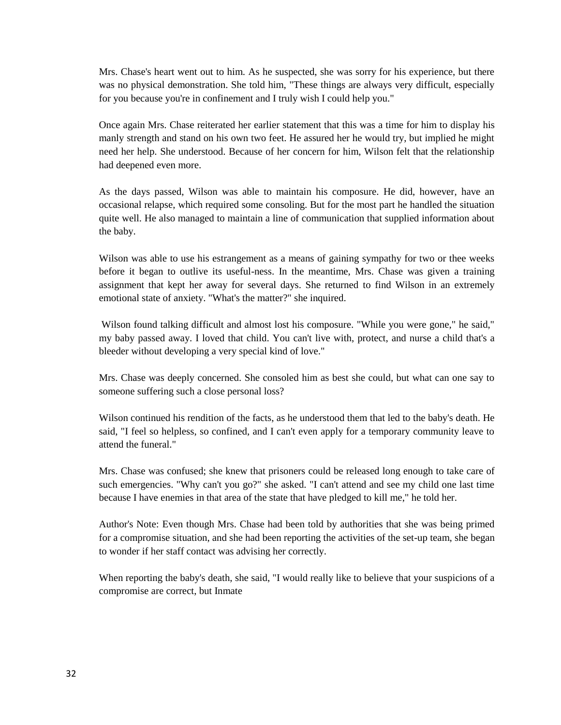Mrs. Chase's heart went out to him. As he suspected, she was sorry for his experience, but there was no physical demonstration. She told him, "These things are always very difficult, especially for you because you're in confinement and I truly wish I could help you."

Once again Mrs. Chase reiterated her earlier statement that this was a time for him to display his manly strength and stand on his own two feet. He assured her he would try, but implied he might need her help. She understood. Because of her concern for him, Wilson felt that the relationship had deepened even more.

As the days passed, Wilson was able to maintain his composure. He did, however, have an occasional relapse, which required some consoling. But for the most part he handled the situation quite well. He also managed to maintain a line of communication that supplied information about the baby.

Wilson was able to use his estrangement as a means of gaining sympathy for two or thee weeks before it began to outlive its useful-ness. In the meantime, Mrs. Chase was given a training assignment that kept her away for several days. She returned to find Wilson in an extremely emotional state of anxiety. "What's the matter?" she inquired.

Wilson found talking difficult and almost lost his composure. "While you were gone," he said," my baby passed away. I loved that child. You can't live with, protect, and nurse a child that's a bleeder without developing a very special kind of love."

Mrs. Chase was deeply concerned. She consoled him as best she could, but what can one say to someone suffering such a close personal loss?

Wilson continued his rendition of the facts, as he understood them that led to the baby's death. He said, "I feel so helpless, so confined, and I can't even apply for a temporary community leave to attend the funeral."

Mrs. Chase was confused; she knew that prisoners could be released long enough to take care of such emergencies. "Why can't you go?" she asked. "I can't attend and see my child one last time because I have enemies in that area of the state that have pledged to kill me," he told her.

Author's Note: Even though Mrs. Chase had been told by authorities that she was being primed for a compromise situation, and she had been reporting the activities of the set-up team, she began to wonder if her staff contact was advising her correctly.

When reporting the baby's death, she said, "I would really like to believe that your suspicions of a compromise are correct, but Inmate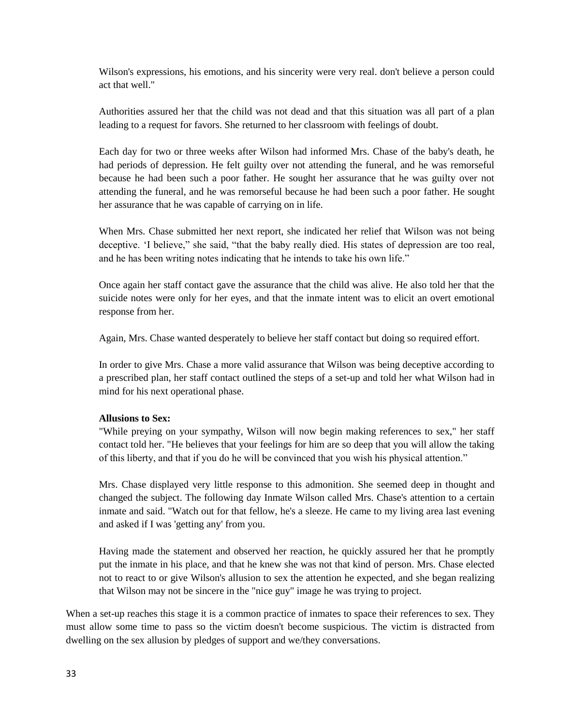Wilson's expressions, his emotions, and his sincerity were very real. don't believe a person could act that well."

Authorities assured her that the child was not dead and that this situation was all part of a plan leading to a request for favors. She returned to her classroom with feelings of doubt.

Each day for two or three weeks after Wilson had informed Mrs. Chase of the baby's death, he had periods of depression. He felt guilty over not attending the funeral, and he was remorseful because he had been such a poor father. He sought her assurance that he was guilty over not attending the funeral, and he was remorseful because he had been such a poor father. He sought her assurance that he was capable of carrying on in life.

When Mrs. Chase submitted her next report, she indicated her relief that Wilson was not being deceptive. "I believe," she said, "that the baby really died. His states of depression are too real, and he has been writing notes indicating that he intends to take his own life."

Once again her staff contact gave the assurance that the child was alive. He also told her that the suicide notes were only for her eyes, and that the inmate intent was to elicit an overt emotional response from her.

Again, Mrs. Chase wanted desperately to believe her staff contact but doing so required effort.

In order to give Mrs. Chase a more valid assurance that Wilson was being deceptive according to a prescribed plan, her staff contact outlined the steps of a set-up and told her what Wilson had in mind for his next operational phase.

# **Allusions to Sex:**

"While preying on your sympathy, Wilson will now begin making references to sex," her staff contact told her. "He believes that your feelings for him are so deep that you will allow the taking of this liberty, and that if you do he will be convinced that you wish his physical attention."

Mrs. Chase displayed very little response to this admonition. She seemed deep in thought and changed the subject. The following day Inmate Wilson called Mrs. Chase's attention to a certain inmate and said. "Watch out for that fellow, he's a sleeze. He came to my living area last evening and asked if I was 'getting any' from you.

Having made the statement and observed her reaction, he quickly assured her that he promptly put the inmate in his place, and that he knew she was not that kind of person. Mrs. Chase elected not to react to or give Wilson's allusion to sex the attention he expected, and she began realizing that Wilson may not be sincere in the "nice guy" image he was trying to project.

When a set-up reaches this stage it is a common practice of inmates to space their references to sex. They must allow some time to pass so the victim doesn't become suspicious. The victim is distracted from dwelling on the sex allusion by pledges of support and we/they conversations.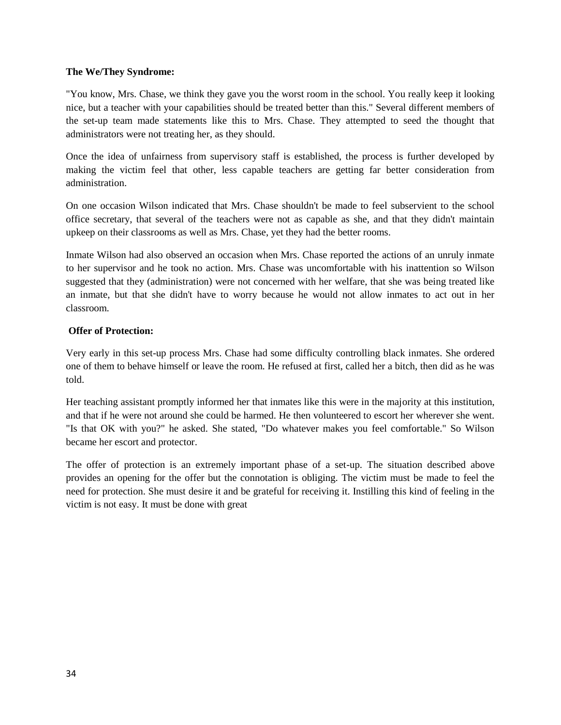# **The We/They Syndrome:**

"You know, Mrs. Chase, we think they gave you the worst room in the school. You really keep it looking nice, but a teacher with your capabilities should be treated better than this." Several different members of the set-up team made statements like this to Mrs. Chase. They attempted to seed the thought that administrators were not treating her, as they should.

Once the idea of unfairness from supervisory staff is established, the process is further developed by making the victim feel that other, less capable teachers are getting far better consideration from administration.

On one occasion Wilson indicated that Mrs. Chase shouldn't be made to feel subservient to the school office secretary, that several of the teachers were not as capable as she, and that they didn't maintain upkeep on their classrooms as well as Mrs. Chase, yet they had the better rooms.

Inmate Wilson had also observed an occasion when Mrs. Chase reported the actions of an unruly inmate to her supervisor and he took no action. Mrs. Chase was uncomfortable with his inattention so Wilson suggested that they (administration) were not concerned with her welfare, that she was being treated like an inmate, but that she didn't have to worry because he would not allow inmates to act out in her classroom.

# **Offer of Protection:**

Very early in this set-up process Mrs. Chase had some difficulty controlling black inmates. She ordered one of them to behave himself or leave the room. He refused at first, called her a bitch, then did as he was told.

Her teaching assistant promptly informed her that inmates like this were in the majority at this institution, and that if he were not around she could be harmed. He then volunteered to escort her wherever she went. "Is that OK with you?" he asked. She stated, "Do whatever makes you feel comfortable." So Wilson became her escort and protector.

The offer of protection is an extremely important phase of a set-up. The situation described above provides an opening for the offer but the connotation is obliging. The victim must be made to feel the need for protection. She must desire it and be grateful for receiving it. Instilling this kind of feeling in the victim is not easy. It must be done with great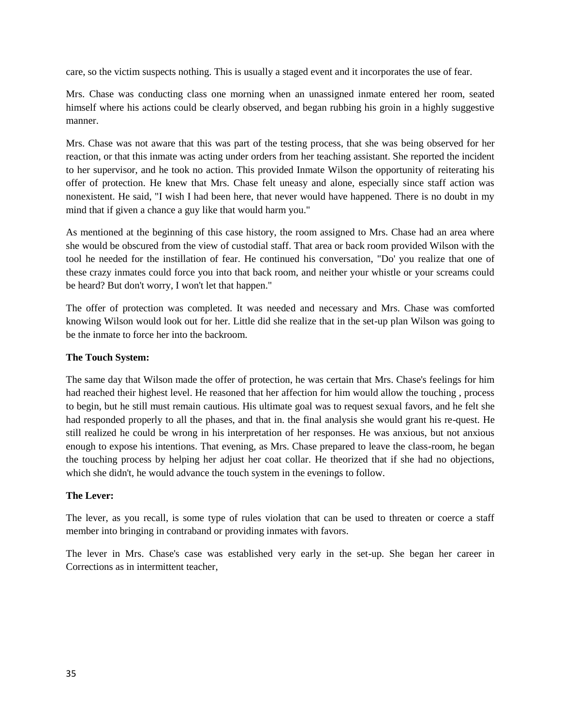care, so the victim suspects nothing. This is usually a staged event and it incorporates the use of fear.

Mrs. Chase was conducting class one morning when an unassigned inmate entered her room, seated himself where his actions could be clearly observed, and began rubbing his groin in a highly suggestive manner.

Mrs. Chase was not aware that this was part of the testing process, that she was being observed for her reaction, or that this inmate was acting under orders from her teaching assistant. She reported the incident to her supervisor, and he took no action. This provided Inmate Wilson the opportunity of reiterating his offer of protection. He knew that Mrs. Chase felt uneasy and alone, especially since staff action was nonexistent. He said, "I wish I had been here, that never would have happened. There is no doubt in my mind that if given a chance a guy like that would harm you."

As mentioned at the beginning of this case history, the room assigned to Mrs. Chase had an area where she would be obscured from the view of custodial staff. That area or back room provided Wilson with the tool he needed for the instillation of fear. He continued his conversation, "Do' you realize that one of these crazy inmates could force you into that back room, and neither your whistle or your screams could be heard? But don't worry, I won't let that happen."

The offer of protection was completed. It was needed and necessary and Mrs. Chase was comforted knowing Wilson would look out for her. Little did she realize that in the set-up plan Wilson was going to be the inmate to force her into the backroom.

# **The Touch System:**

The same day that Wilson made the offer of protection, he was certain that Mrs. Chase's feelings for him had reached their highest level. He reasoned that her affection for him would allow the touching , process to begin, but he still must remain cautious. His ultimate goal was to request sexual favors, and he felt she had responded properly to all the phases, and that in. the final analysis she would grant his re-quest. He still realized he could be wrong in his interpretation of her responses. He was anxious, but not anxious enough to expose his intentions. That evening, as Mrs. Chase prepared to leave the class-room, he began the touching process by helping her adjust her coat collar. He theorized that if she had no objections, which she didn't, he would advance the touch system in the evenings to follow.

# **The Lever:**

The lever, as you recall, is some type of rules violation that can be used to threaten or coerce a staff member into bringing in contraband or providing inmates with favors.

The lever in Mrs. Chase's case was established very early in the set-up. She began her career in Corrections as in intermittent teacher,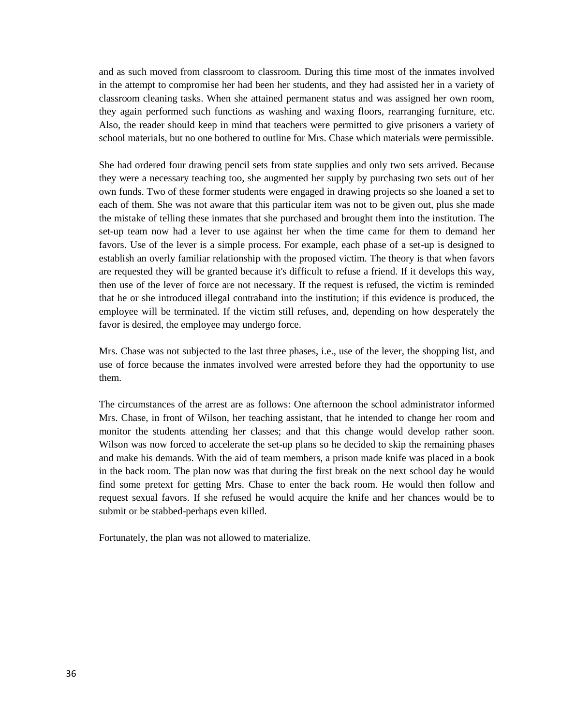and as such moved from classroom to classroom. During this time most of the inmates involved in the attempt to compromise her had been her students, and they had assisted her in a variety of classroom cleaning tasks. When she attained permanent status and was assigned her own room, they again performed such functions as washing and waxing floors, rearranging furniture, etc. Also, the reader should keep in mind that teachers were permitted to give prisoners a variety of school materials, but no one bothered to outline for Mrs. Chase which materials were permissible.

She had ordered four drawing pencil sets from state supplies and only two sets arrived. Because they were a necessary teaching too, she augmented her supply by purchasing two sets out of her own funds. Two of these former students were engaged in drawing projects so she loaned a set to each of them. She was not aware that this particular item was not to be given out, plus she made the mistake of telling these inmates that she purchased and brought them into the institution. The set-up team now had a lever to use against her when the time came for them to demand her favors. Use of the lever is a simple process. For example, each phase of a set-up is designed to establish an overly familiar relationship with the proposed victim. The theory is that when favors are requested they will be granted because it's difficult to refuse a friend. If it develops this way, then use of the lever of force are not necessary. If the request is refused, the victim is reminded that he or she introduced illegal contraband into the institution; if this evidence is produced, the employee will be terminated. If the victim still refuses, and, depending on how desperately the favor is desired, the employee may undergo force.

Mrs. Chase was not subjected to the last three phases, i.e., use of the lever, the shopping list, and use of force because the inmates involved were arrested before they had the opportunity to use them.

The circumstances of the arrest are as follows: One afternoon the school administrator informed Mrs. Chase, in front of Wilson, her teaching assistant, that he intended to change her room and monitor the students attending her classes; and that this change would develop rather soon. Wilson was now forced to accelerate the set-up plans so he decided to skip the remaining phases and make his demands. With the aid of team members, a prison made knife was placed in a book in the back room. The plan now was that during the first break on the next school day he would find some pretext for getting Mrs. Chase to enter the back room. He would then follow and request sexual favors. If she refused he would acquire the knife and her chances would be to submit or be stabbed-perhaps even killed.

Fortunately, the plan was not allowed to materialize.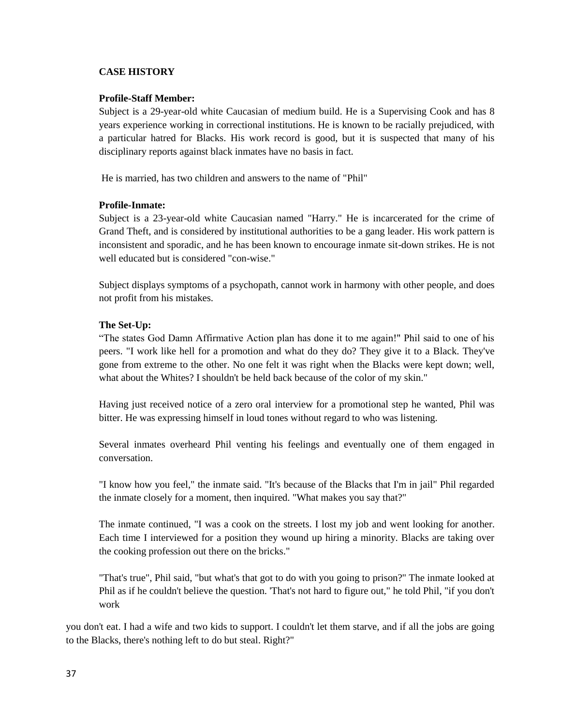### **CASE HISTORY**

#### **Profile-Staff Member:**

Subject is a 29-year-old white Caucasian of medium build. He is a Supervising Cook and has 8 years experience working in correctional institutions. He is known to be racially prejudiced, with a particular hatred for Blacks. His work record is good, but it is suspected that many of his disciplinary reports against black inmates have no basis in fact.

He is married, has two children and answers to the name of "Phil"

#### **Profile-Inmate:**

Subject is a 23-year-old white Caucasian named "Harry." He is incarcerated for the crime of Grand Theft, and is considered by institutional authorities to be a gang leader. His work pattern is inconsistent and sporadic, and he has been known to encourage inmate sit-down strikes. He is not well educated but is considered "con-wise."

Subject displays symptoms of a psychopath, cannot work in harmony with other people, and does not profit from his mistakes.

# **The Set-Up:**

"The states God Damn Affirmative Action plan has done it to me again!" Phil said to one of his peers. "I work like hell for a promotion and what do they do? They give it to a Black. They've gone from extreme to the other. No one felt it was right when the Blacks were kept down; well, what about the Whites? I shouldn't be held back because of the color of my skin."

Having just received notice of a zero oral interview for a promotional step he wanted, Phil was bitter. He was expressing himself in loud tones without regard to who was listening.

Several inmates overheard Phil venting his feelings and eventually one of them engaged in conversation.

"I know how you feel," the inmate said. "It's because of the Blacks that I'm in jail" Phil regarded the inmate closely for a moment, then inquired. "What makes you say that?"

The inmate continued, "I was a cook on the streets. I lost my job and went looking for another. Each time I interviewed for a position they wound up hiring a minority. Blacks are taking over the cooking profession out there on the bricks."

"That's true", Phil said, "but what's that got to do with you going to prison?" The inmate looked at Phil as if he couldn't believe the question. 'That's not hard to figure out," he told Phil, "if you don't work

you don't eat. I had a wife and two kids to support. I couldn't let them starve, and if all the jobs are going to the Blacks, there's nothing left to do but steal. Right?"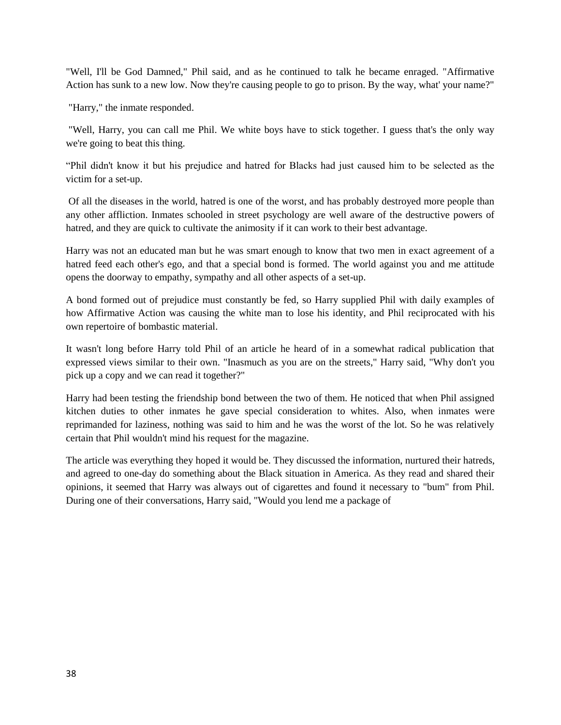"Well, I'll be God Damned," Phil said, and as he continued to talk he became enraged. "Affirmative Action has sunk to a new low. Now they're causing people to go to prison. By the way, what' your name?"

"Harry," the inmate responded.

"Well, Harry, you can call me Phil. We white boys have to stick together. I guess that's the only way we're going to beat this thing.

"Phil didn't know it but his prejudice and hatred for Blacks had just caused him to be selected as the victim for a set-up.

Of all the diseases in the world, hatred is one of the worst, and has probably destroyed more people than any other affliction. Inmates schooled in street psychology are well aware of the destructive powers of hatred, and they are quick to cultivate the animosity if it can work to their best advantage.

Harry was not an educated man but he was smart enough to know that two men in exact agreement of a hatred feed each other's ego, and that a special bond is formed. The world against you and me attitude opens the doorway to empathy, sympathy and all other aspects of a set-up.

A bond formed out of prejudice must constantly be fed, so Harry supplied Phil with daily examples of how Affirmative Action was causing the white man to lose his identity, and Phil reciprocated with his own repertoire of bombastic material.

It wasn't long before Harry told Phil of an article he heard of in a somewhat radical publication that expressed views similar to their own. "Inasmuch as you are on the streets," Harry said, "Why don't you pick up a copy and we can read it together?"

Harry had been testing the friendship bond between the two of them. He noticed that when Phil assigned kitchen duties to other inmates he gave special consideration to whites. Also, when inmates were reprimanded for laziness, nothing was said to him and he was the worst of the lot. So he was relatively certain that Phil wouldn't mind his request for the magazine.

The article was everything they hoped it would be. They discussed the information, nurtured their hatreds, and agreed to one-day do something about the Black situation in America. As they read and shared their opinions, it seemed that Harry was always out of cigarettes and found it necessary to "bum" from Phil. During one of their conversations, Harry said, "Would you lend me a package of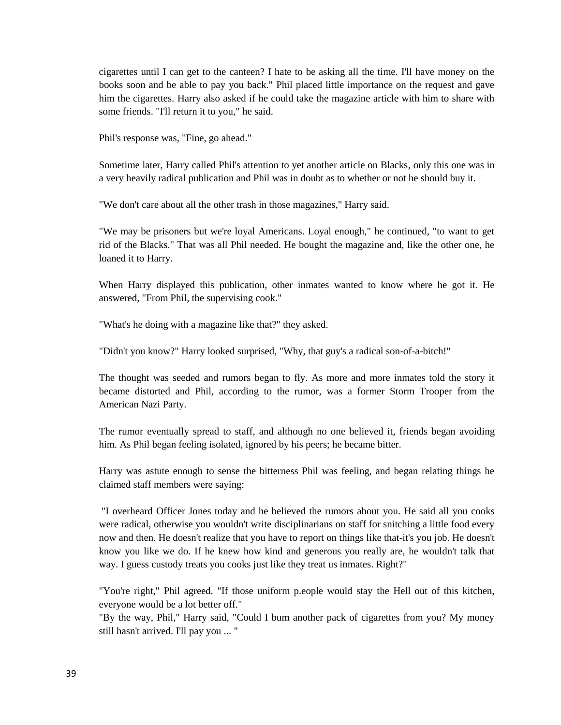cigarettes until I can get to the canteen? I hate to be asking all the time. I'll have money on the books soon and be able to pay you back." Phil placed little importance on the request and gave him the cigarettes. Harry also asked if he could take the magazine article with him to share with some friends. "I'll return it to you," he said.

Phil's response was, "Fine, go ahead."

Sometime later, Harry called Phil's attention to yet another article on Blacks, only this one was in a very heavily radical publication and Phil was in doubt as to whether or not he should buy it.

"We don't care about all the other trash in those magazines," Harry said.

"We may be prisoners but we're loyal Americans. Loyal enough," he continued, "to want to get rid of the Blacks." That was all Phil needed. He bought the magazine and, like the other one, he loaned it to Harry.

When Harry displayed this publication, other inmates wanted to know where he got it. He answered, "From Phil, the supervising cook."

"What's he doing with a magazine like that?" they asked.

"Didn't you know?" Harry looked surprised, "Why, that guy's a radical son-of-a-bitch!"

The thought was seeded and rumors began to fly. As more and more inmates told the story it became distorted and Phil, according to the rumor, was a former Storm Trooper from the American Nazi Party.

The rumor eventually spread to staff, and although no one believed it, friends began avoiding him. As Phil began feeling isolated, ignored by his peers; he became bitter.

Harry was astute enough to sense the bitterness Phil was feeling, and began relating things he claimed staff members were saying:

"I overheard Officer Jones today and he believed the rumors about you. He said all you cooks were radical, otherwise you wouldn't write disciplinarians on staff for snitching a little food every now and then. He doesn't realize that you have to report on things like that-it's you job. He doesn't know you like we do. If he knew how kind and generous you really are, he wouldn't talk that way. I guess custody treats you cooks just like they treat us inmates. Right?"

"You're right," Phil agreed. "If those uniform p.eople would stay the Hell out of this kitchen, everyone would be a lot better off."

"By the way, Phil," Harry said, "Could I bum another pack of cigarettes from you? My money still hasn't arrived. I'll pay you ... "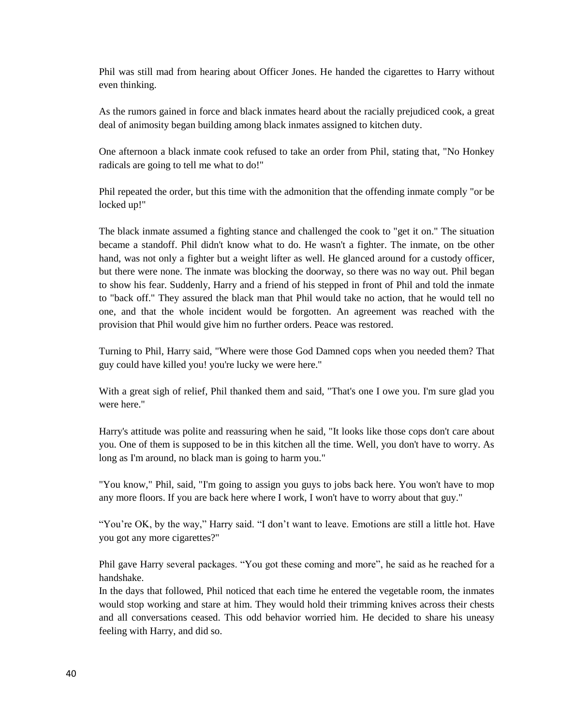Phil was still mad from hearing about Officer Jones. He handed the cigarettes to Harry without even thinking.

As the rumors gained in force and black inmates heard about the racially prejudiced cook, a great deal of animosity began building among black inmates assigned to kitchen duty.

One afternoon a black inmate cook refused to take an order from Phil, stating that, "No Honkey radicals are going to tell me what to do!"

Phil repeated the order, but this time with the admonition that the offending inmate comply "or be locked up!"

The black inmate assumed a fighting stance and challenged the cook to "get it on." The situation became a standoff. Phil didn't know what to do. He wasn't a fighter. The inmate, on tbe other hand, was not only a fighter but a weight lifter as well. He glanced around for a custody officer, but there were none. The inmate was blocking the doorway, so there was no way out. Phil began to show his fear. Suddenly, Harry and a friend of his stepped in front of Phil and told the inmate to "back off." They assured the black man that Phil would take no action, that he would tell no one, and that the whole incident would be forgotten. An agreement was reached with the provision that Phil would give him no further orders. Peace was restored.

Turning to Phil, Harry said, "Where were those God Damned cops when you needed them? That guy could have killed you! you're lucky we were here."

With a great sigh of relief, Phil thanked them and said, "That's one I owe you. I'm sure glad you were here."

Harry's attitude was polite and reassuring when he said, "It looks like those cops don't care about you. One of them is supposed to be in this kitchen all the time. Well, you don't have to worry. As long as I'm around, no black man is going to harm you."

"You know," Phil, said, "I'm going to assign you guys to jobs back here. You won't have to mop any more floors. If you are back here where I work, I won't have to worry about that guy."

"You"re OK, by the way," Harry said. "I don"t want to leave. Emotions are still a little hot. Have you got any more cigarettes?"

Phil gave Harry several packages. "You got these coming and more", he said as he reached for a handshake.

In the days that followed, Phil noticed that each time he entered the vegetable room, the inmates would stop working and stare at him. They would hold their trimming knives across their chests and all conversations ceased. This odd behavior worried him. He decided to share his uneasy feeling with Harry, and did so.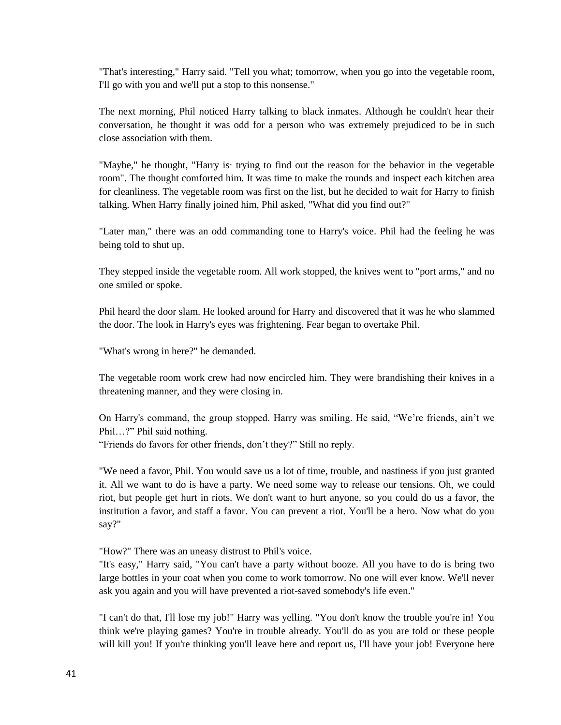"That's interesting," Harry said. "Tell you what; tomorrow, when you go into the vegetable room, I'll go with you and we'll put a stop to this nonsense."

The next morning, Phil noticed Harry talking to black inmates. Although he couldn't hear their conversation, he thought it was odd for a person who was extremely prejudiced to be in such close association with them.

"Maybe," he thought, "Harry is· trying to find out the reason for the behavior in the vegetable room". The thought comforted him. It was time to make the rounds and inspect each kitchen area for cleanliness. The vegetable room was first on the list, but he decided to wait for Harry to finish talking. When Harry finally joined him, Phil asked, "What did you find out?"

"Later man," there was an odd commanding tone to Harry's voice. Phil had the feeling he was being told to shut up.

They stepped inside the vegetable room. All work stopped, the knives went to "port arms," and no one smiled or spoke.

Phil heard the door slam. He looked around for Harry and discovered that it was he who slammed the door. The look in Harry's eyes was frightening. Fear began to overtake Phil.

"What's wrong in here?" he demanded.

The vegetable room work crew had now encircled him. They were brandishing their knives in a threatening manner, and they were closing in.

On Harry's command, the group stopped. Harry was smiling. He said, "We"re friends, ain"t we Phil…?" Phil said nothing.

"Friends do favors for other friends, don"t they?" Still no reply.

"We need a favor, Phil. You would save us a lot of time, trouble, and nastiness if you just granted it. All we want to do is have a party. We need some way to release our tensions. Oh, we could riot, but people get hurt in riots. We don't want to hurt anyone, so you could do us a favor, the institution a favor, and staff a favor. You can prevent a riot. You'll be a hero. Now what do you say?"

"How?" There was an uneasy distrust to Phil's voice.

"It's easy," Harry said, "You can't have a party without booze. All you have to do is bring two large bottles in your coat when you come to work tomorrow. No one will ever know. We'll never ask you again and you will have prevented a riot-saved somebody's life even."

"I can't do that, I'll lose my job!" Harry was yelling. "You don't know the trouble you're in! You think we're playing games? You're in trouble already. You'll do as you are told or these people will kill you! If you're thinking you'll leave here and report us, I'll have your job! Everyone here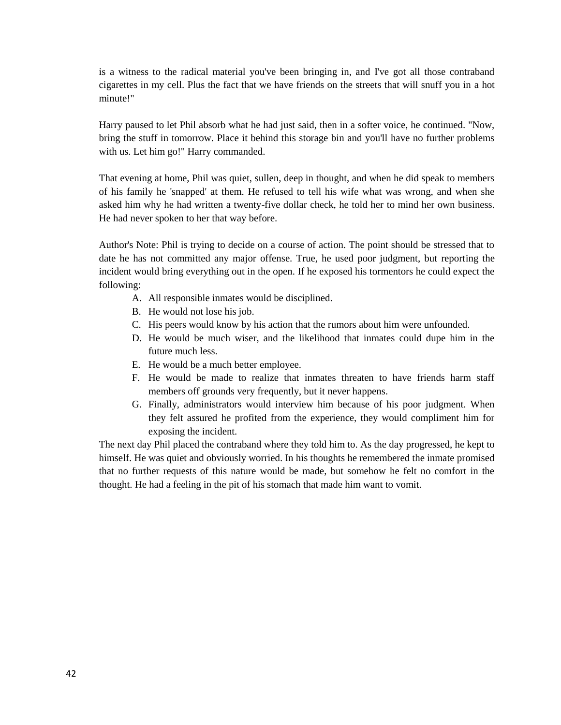is a witness to the radical material you've been bringing in, and I've got all those contraband cigarettes in my cell. Plus the fact that we have friends on the streets that will snuff you in a hot minute!"

Harry paused to let Phil absorb what he had just said, then in a softer voice, he continued. "Now, bring the stuff in tomorrow. Place it behind this storage bin and you'll have no further problems with us. Let him go!" Harry commanded.

That evening at home, Phil was quiet, sullen, deep in thought, and when he did speak to members of his family he 'snapped' at them. He refused to tell his wife what was wrong, and when she asked him why he had written a twenty-five dollar check, he told her to mind her own business. He had never spoken to her that way before.

Author's Note: Phil is trying to decide on a course of action. The point should be stressed that to date he has not committed any major offense. True, he used poor judgment, but reporting the incident would bring everything out in the open. If he exposed his tormentors he could expect the following:

- A. All responsible inmates would be disciplined.
- B. He would not lose his job.
- C. His peers would know by his action that the rumors about him were unfounded.
- D. He would be much wiser, and the likelihood that inmates could dupe him in the future much less.
- E. He would be a much better employee.
- F. He would be made to realize that inmates threaten to have friends harm staff members off grounds very frequently, but it never happens.
- G. Finally, administrators would interview him because of his poor judgment. When they felt assured he profited from the experience, they would compliment him for exposing the incident.

The next day Phil placed the contraband where they told him to. As the day progressed, he kept to himself. He was quiet and obviously worried. In his thoughts he remembered the inmate promised that no further requests of this nature would be made, but somehow he felt no comfort in the thought. He had a feeling in the pit of his stomach that made him want to vomit.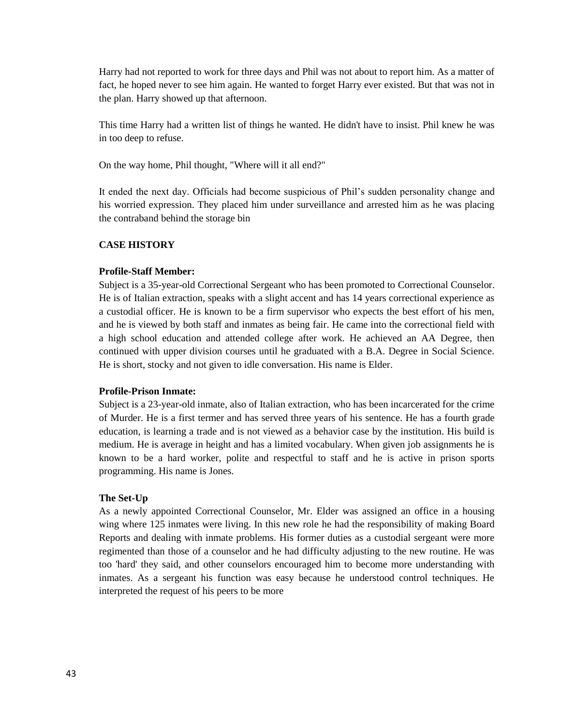Harry had not reported to work for three days and Phil was not about to report him. As a matter of fact, he hoped never to see him again. He wanted to forget Harry ever existed. But that was not in the plan. Harry showed up that afternoon.

This time Harry had a written list of things he wanted. He didn't have to insist. Phil knew he was in too deep to refuse.

On the way home, Phil thought, "Where will it all end?"

It ended the next day. Officials had become suspicious of Phil"s sudden personality change and his worried expression. They placed him under surveillance and arrested him as he was placing the contraband behind the storage bin

# **CASE HISTORY**

# **Profile-Staff Member:**

Subject is a 35-year-old Correctional Sergeant who has been promoted to Correctional Counselor. He is of Italian extraction, speaks with a slight accent and has 14 years correctional experience as a custodial officer. He is known to be a firm supervisor who expects the best effort of his men, and he is viewed by both staff and inmates as being fair. He came into the correctional field with a high school education and attended college after work. He achieved an AA Degree, then continued with upper division courses until he graduated with a B.A. Degree in Social Science. He is short, stocky and not given to idle conversation. His name is Elder.

#### **Profile-Prison Inmate:**

Subject is a 23-year-old inmate, also of Italian extraction, who has been incarcerated for the crime of Murder. He is a first termer and has served three years of his sentence. He has a fourth grade education, is learning a trade and is not viewed as a behavior case by the institution. His build is medium. He is average in height and has a limited vocabulary. When given job assignments he is known to be a hard worker, polite and respectful to staff and he is active in prison sports programming. His name is Jones.

# **The Set-Up**

As a newly appointed Correctional Counselor, Mr. Elder was assigned an office in a housing wing where 125 inmates were living. In this new role he had the responsibility of making Board Reports and dealing with inmate problems. His former duties as a custodial sergeant were more regimented than those of a counselor and he had difficulty adjusting to the new routine. He was too 'hard' they said, and other counselors encouraged him to become more understanding with inmates. As a sergeant his function was easy because he understood control techniques. He interpreted the request of his peers to be more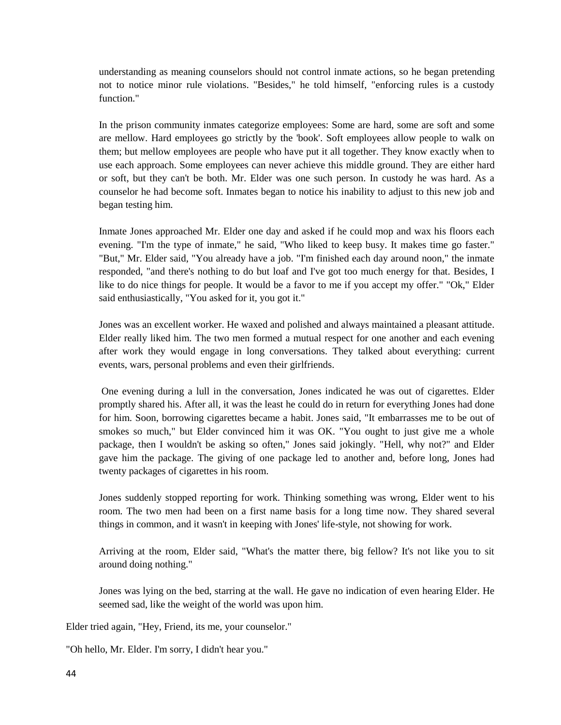understanding as meaning counselors should not control inmate actions, so he began pretending not to notice minor rule violations. "Besides," he told himself, "enforcing rules is a custody function."

In the prison community inmates categorize employees: Some are hard, some are soft and some are mellow. Hard employees go strictly by the 'book'. Soft employees allow people to walk on them; but mellow employees are people who have put it all together. They know exactly when to use each approach. Some employees can never achieve this middle ground. They are either hard or soft, but they can't be both. Mr. Elder was one such person. In custody he was hard. As a counselor he had become soft. Inmates began to notice his inability to adjust to this new job and began testing him.

Inmate Jones approached Mr. Elder one day and asked if he could mop and wax his floors each evening. "I'm the type of inmate," he said, "Who liked to keep busy. It makes time go faster." "But," Mr. Elder said, "You already have a job. "I'm finished each day around noon," the inmate responded, "and there's nothing to do but loaf and I've got too much energy for that. Besides, I like to do nice things for people. It would be a favor to me if you accept my offer." "Ok," Elder said enthusiastically, "You asked for it, you got it."

Jones was an excellent worker. He waxed and polished and always maintained a pleasant attitude. Elder really liked him. The two men formed a mutual respect for one another and each evening after work they would engage in long conversations. They talked about everything: current events, wars, personal problems and even their girlfriends.

One evening during a lull in the conversation, Jones indicated he was out of cigarettes. Elder promptly shared his. After all, it was the least he could do in return for everything Jones had done for him. Soon, borrowing cigarettes became a habit. Jones said, "It embarrasses me to be out of smokes so much," but Elder convinced him it was OK. "You ought to just give me a whole package, then I wouldn't be asking so often," Jones said jokingly. "Hell, why not?" and Elder gave him the package. The giving of one package led to another and, before long, Jones had twenty packages of cigarettes in his room.

Jones suddenly stopped reporting for work. Thinking something was wrong, Elder went to his room. The two men had been on a first name basis for a long time now. They shared several things in common, and it wasn't in keeping with Jones' life-style, not showing for work.

Arriving at the room, Elder said, "What's the matter there, big fellow? It's not like you to sit around doing nothing."

Jones was lying on the bed, starring at the wall. He gave no indication of even hearing Elder. He seemed sad, like the weight of the world was upon him.

Elder tried again, "Hey, Friend, its me, your counselor."

"Oh hello, Mr. Elder. I'm sorry, I didn't hear you."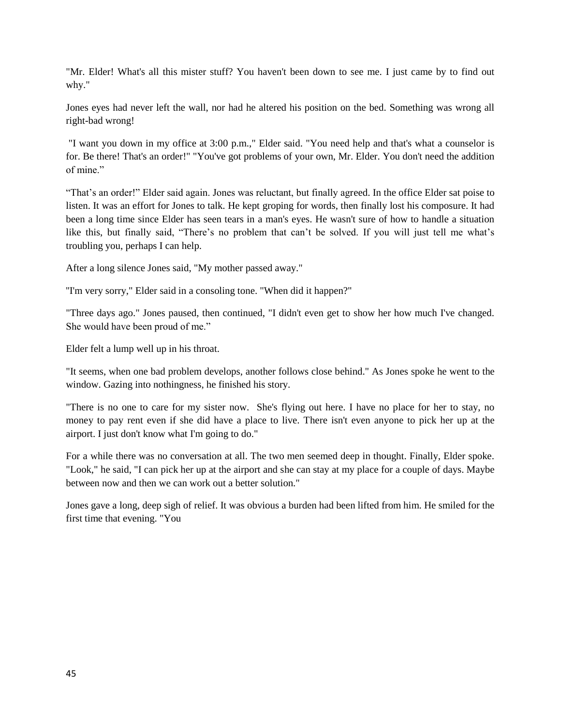"Mr. Elder! What's all this mister stuff? You haven't been down to see me. I just came by to find out why."

Jones eyes had never left the wall, nor had he altered his position on the bed. Something was wrong all right-bad wrong!

"I want you down in my office at 3:00 p.m.," Elder said. "You need help and that's what a counselor is for. Be there! That's an order!" "You've got problems of your own, Mr. Elder. You don't need the addition of mine."

"That's an order!" Elder said again. Jones was reluctant, but finally agreed. In the office Elder sat poise to listen. It was an effort for Jones to talk. He kept groping for words, then finally lost his composure. It had been a long time since Elder has seen tears in a man's eyes. He wasn't sure of how to handle a situation like this, but finally said, "There's no problem that can't be solved. If you will just tell me what's troubling you, perhaps I can help.

After a long silence Jones said, "My mother passed away."

''I'm very sorry," Elder said in a consoling tone. "When did it happen?"

"Three days ago." Jones paused, then continued, "I didn't even get to show her how much I've changed. She would have been proud of me."

Elder felt a lump well up in his throat.

"It seems, when one bad problem develops, another follows close behind." As Jones spoke he went to the window. Gazing into nothingness, he finished his story.

"There is no one to care for my sister now. She's flying out here. I have no place for her to stay, no money to pay rent even if she did have a place to live. There isn't even anyone to pick her up at the airport. I just don't know what I'm going to do."

For a while there was no conversation at all. The two men seemed deep in thought. Finally, Elder spoke. "Look," he said, "I can pick her up at the airport and she can stay at my place for a couple of days. Maybe between now and then we can work out a better solution."

Jones gave a long, deep sigh of relief. It was obvious a burden had been lifted from him. He smiled for the first time that evening. "You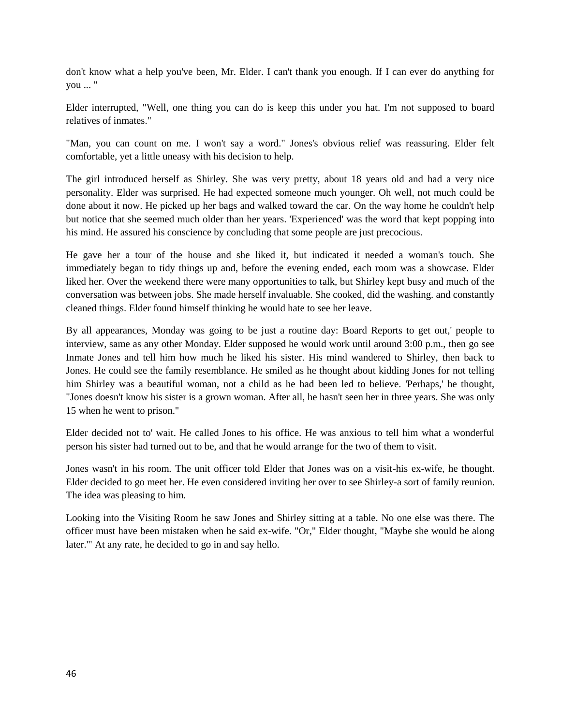don't know what a help you've been, Mr. Elder. I can't thank you enough. If I can ever do anything for you ... "

Elder interrupted, "Well, one thing you can do is keep this under you hat. I'm not supposed to board relatives of inmates."

"Man, you can count on me. I won't say a word." Jones's obvious relief was reassuring. Elder felt comfortable, yet a little uneasy with his decision to help.

The girl introduced herself as Shirley. She was very pretty, about 18 years old and had a very nice personality. Elder was surprised. He had expected someone much younger. Oh well, not much could be done about it now. He picked up her bags and walked toward the car. On the way home he couldn't help but notice that she seemed much older than her years. 'Experienced' was the word that kept popping into his mind. He assured his conscience by concluding that some people are just precocious.

He gave her a tour of the house and she liked it, but indicated it needed a woman's touch. She immediately began to tidy things up and, before the evening ended, each room was a showcase. Elder liked her. Over the weekend there were many opportunities to talk, but Shirley kept busy and much of the conversation was between jobs. She made herself invaluable. She cooked, did the washing. and constantly cleaned things. Elder found himself thinking he would hate to see her leave.

By all appearances, Monday was going to be just a routine day: Board Reports to get out,' people to interview, same as any other Monday. Elder supposed he would work until around 3:00 p.m., then go see Inmate Jones and tell him how much he liked his sister. His mind wandered to Shirley, then back to Jones. He could see the family resemblance. He smiled as he thought about kidding Jones for not telling him Shirley was a beautiful woman, not a child as he had been led to believe. 'Perhaps,' he thought, "Jones doesn't know his sister is a grown woman. After all, he hasn't seen her in three years. She was only 15 when he went to prison."

Elder decided not to' wait. He called Jones to his office. He was anxious to tell him what a wonderful person his sister had turned out to be, and that he would arrange for the two of them to visit.

Jones wasn't in his room. The unit officer told Elder that Jones was on a visit-his ex-wife, he thought. Elder decided to go meet her. He even considered inviting her over to see Shirley-a sort of family reunion. The idea was pleasing to him.

Looking into the Visiting Room he saw Jones and Shirley sitting at a table. No one else was there. The officer must have been mistaken when he said ex-wife. "Or," Elder thought, "Maybe she would be along later.'" At any rate, he decided to go in and say hello.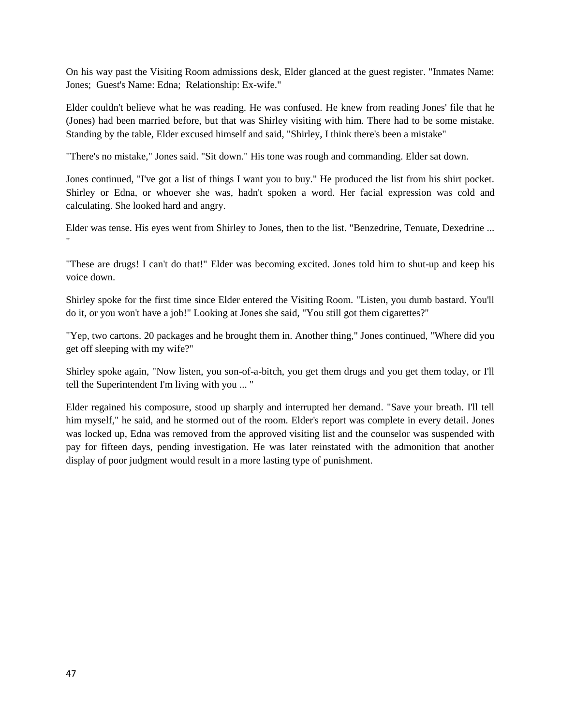On his way past the Visiting Room admissions desk, Elder glanced at the guest register. "Inmates Name: Jones; Guest's Name: Edna; Relationship: Ex-wife."

Elder couldn't believe what he was reading. He was confused. He knew from reading Jones' file that he (Jones) had been married before, but that was Shirley visiting with him. There had to be some mistake. Standing by the table, Elder excused himself and said, "Shirley, I think there's been a mistake"

"There's no mistake," Jones said. "Sit down." His tone was rough and commanding. Elder sat down.

Jones continued, "I've got a list of things I want you to buy." He produced the list from his shirt pocket. Shirley or Edna, or whoever she was, hadn't spoken a word. Her facial expression was cold and calculating. She looked hard and angry.

Elder was tense. His eyes went from Shirley to Jones, then to the list. "Benzedrine, Tenuate, Dexedrine ... "

"These are drugs! I can't do that!" Elder was becoming excited. Jones told him to shut-up and keep his voice down.

Shirley spoke for the first time since Elder entered the Visiting Room. "Listen, you dumb bastard. You'll do it, or you won't have a job!" Looking at Jones she said, "You still got them cigarettes?"

"Yep, two cartons. 20 packages and he brought them in. Another thing," Jones continued, "Where did you get off sleeping with my wife?"

Shirley spoke again, "Now listen, you son-of-a-bitch, you get them drugs and you get them today, or I'll tell the Superintendent I'm living with you ... "

Elder regained his composure, stood up sharply and interrupted her demand. "Save your breath. I'll tell him myself," he said, and he stormed out of the room. Elder's report was complete in every detail. Jones was locked up, Edna was removed from the approved visiting list and the counselor was suspended with pay for fifteen days, pending investigation. He was later reinstated with the admonition that another display of poor judgment would result in a more lasting type of punishment.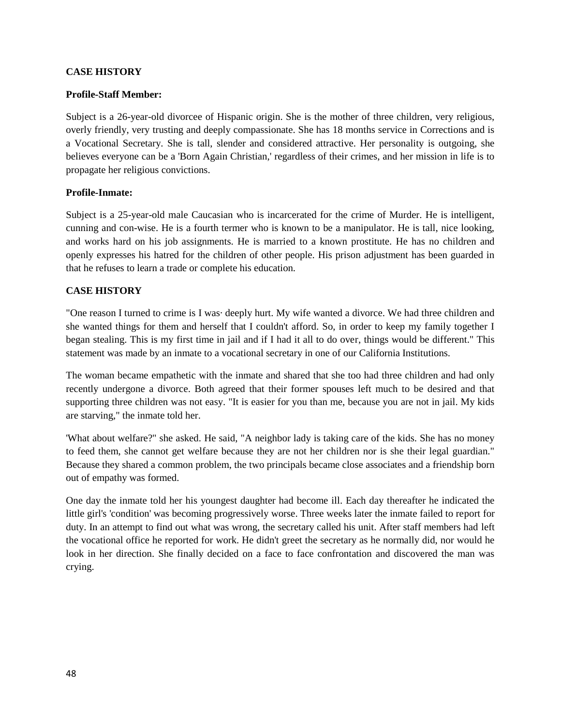# **CASE HISTORY**

# **Profile-Staff Member:**

Subject is a 26-year-old divorcee of Hispanic origin. She is the mother of three children, very religious, overly friendly, very trusting and deeply compassionate. She has 18 months service in Corrections and is a Vocational Secretary. She is tall, slender and considered attractive. Her personality is outgoing, she believes everyone can be a 'Born Again Christian,' regardless of their crimes, and her mission in life is to propagate her religious convictions.

# **Profile-Inmate:**

Subject is a 25-year-old male Caucasian who is incarcerated for the crime of Murder. He is intelligent, cunning and con-wise. He is a fourth termer who is known to be a manipulator. He is tall, nice looking, and works hard on his job assignments. He is married to a known prostitute. He has no children and openly expresses his hatred for the children of other people. His prison adjustment has been guarded in that he refuses to learn a trade or complete his education.

# **CASE HISTORY**

"One reason I turned to crime is I was· deeply hurt. My wife wanted a divorce. We had three children and she wanted things for them and herself that I couldn't afford. So, in order to keep my family together I began stealing. This is my first time in jail and if I had it all to do over, things would be different." This statement was made by an inmate to a vocational secretary in one of our California Institutions.

The woman became empathetic with the inmate and shared that she too had three children and had only recently undergone a divorce. Both agreed that their former spouses left much to be desired and that supporting three children was not easy. "It is easier for you than me, because you are not in jail. My kids are starving," the inmate told her.

'What about welfare?" she asked. He said, "A neighbor lady is taking care of the kids. She has no money to feed them, she cannot get welfare because they are not her children nor is she their legal guardian." Because they shared a common problem, the two principals became close associates and a friendship born out of empathy was formed.

One day the inmate told her his youngest daughter had become ill. Each day thereafter he indicated the little girl's 'condition' was becoming progressively worse. Three weeks later the inmate failed to report for duty. In an attempt to find out what was wrong, the secretary called his unit. After staff members had left the vocational office he reported for work. He didn't greet the secretary as he normally did, nor would he look in her direction. She finally decided on a face to face confrontation and discovered the man was crying.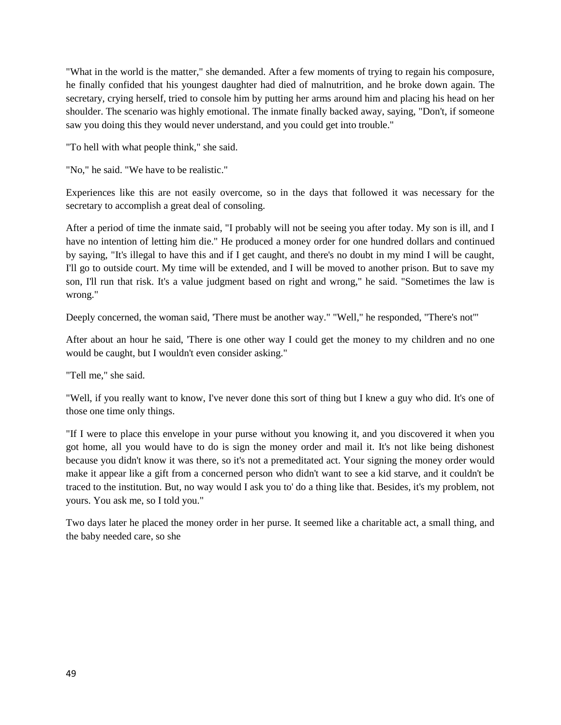"What in the world is the matter," she demanded. After a few moments of trying to regain his composure, he finally confided that his youngest daughter had died of malnutrition, and he broke down again. The secretary, crying herself, tried to console him by putting her arms around him and placing his head on her shoulder. The scenario was highly emotional. The inmate finally backed away, saying, "Don't, if someone saw you doing this they would never understand, and you could get into trouble."

"To hell with what people think," she said.

"No," he said. "We have to be realistic."

Experiences like this are not easily overcome, so in the days that followed it was necessary for the secretary to accomplish a great deal of consoling.

After a period of time the inmate said, "I probably will not be seeing you after today. My son is ill, and I have no intention of letting him die." He produced a money order for one hundred dollars and continued by saying, "It's illegal to have this and if I get caught, and there's no doubt in my mind I will be caught, I'll go to outside court. My time will be extended, and I will be moved to another prison. But to save my son, I'll run that risk. It's a value judgment based on right and wrong," he said. "Sometimes the law is wrong."

Deeply concerned, the woman said, 'There must be another way." "Well," he responded, "There's not'"

After about an hour he said, 'There is one other way I could get the money to my children and no one would be caught, but I wouldn't even consider asking."

"Tell me," she said.

"Well, if you really want to know, I've never done this sort of thing but I knew a guy who did. It's one of those one time only things.

"If I were to place this envelope in your purse without you knowing it, and you discovered it when you got home, all you would have to do is sign the money order and mail it. It's not like being dishonest because you didn't know it was there, so it's not a premeditated act. Your signing the money order would make it appear like a gift from a concerned person who didn't want to see a kid starve, and it couldn't be traced to the institution. But, no way would I ask you to' do a thing like that. Besides, it's my problem, not yours. You ask me, so I told you."

Two days later he placed the money order in her purse. It seemed like a charitable act, a small thing, and the baby needed care, so she